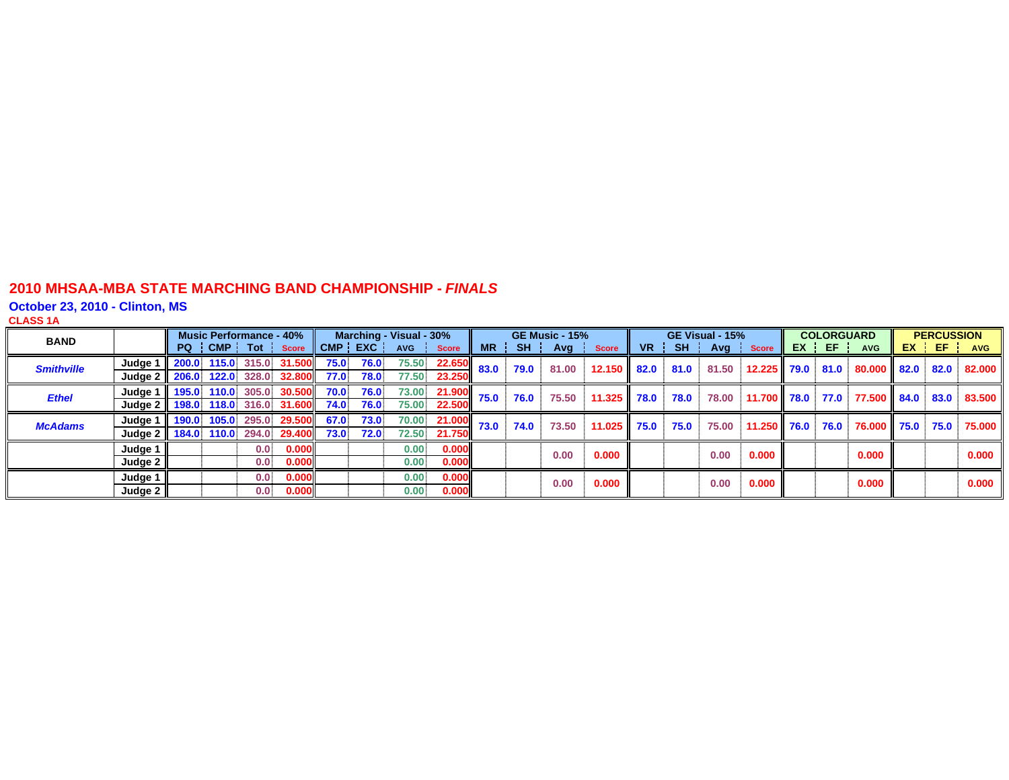**October 23, 2010 - Clinton, MS**

**CLASS 1 A**

| <b>BAND</b>       |                     | <b>Music Performance - 40%</b> |                  |                          |      |           | Marching - Visual - 30% |               |           |           | <b>GE Music - 15%</b> |              |      |           | GE Visual - 15% |                  | <b>COLORGUARD</b> |                  |      | <b>PERCUSSION</b> |            |
|-------------------|---------------------|--------------------------------|------------------|--------------------------|------|-----------|-------------------------|---------------|-----------|-----------|-----------------------|--------------|------|-----------|-----------------|------------------|-------------------|------------------|------|-------------------|------------|
|                   |                     | PQ CMP Tot                     |                  | <b>Score</b>             |      | CMP   EXC | <b>AVG</b>              | <b>Score</b>  | <b>MR</b> | <b>SH</b> | Avg                   | <b>Score</b> | VR.  | <b>SH</b> | Avg             | <b>Score</b>     | EX EF             | <b>AVG</b>       | EX 1 | -EF -             | <b>AVG</b> |
| <b>Smithville</b> | Judge 1             | 200.0 115.0 315.0              |                  | 31.500                   | 75.0 | 76.0      | 75.50                   | 22.650        | 83.0      | 79.0      | 81.00                 | 12.150       | 82.0 | 81.0      | 81.50           | 12.225 79.0 81.0 |                   | 80.000 82.0      |      | 82.0              | 82.000     |
|                   | Judge $2 \parallel$ |                                |                  | 206.0 122.0 328.0 32.800 | 77.0 | 78.0      | 77.50                   | 23.250        |           |           |                       |              |      |           |                 |                  |                   |                  |      |                   |            |
| <b>Ethel</b>      | Judge <sup>1</sup>  | 195.0 110.0 305.0              |                  | <b>30.500</b>            | 70.0 | 76.0      | 73.00                   | 21.900        | 75.0      | 76.0      | 75.50                 | 11.325       | 78.0 | 78.0      | 78.00           | 11.700 78.0 77.0 |                   | 77.500 84.0 83.0 |      |                   | 83.500     |
|                   | Judge 2             |                                |                  | 198.0 118.0 316.0 31.600 | 74.0 | 76.0      | 75.00                   | 22.500        |           |           |                       |              |      |           |                 |                  |                   |                  |      |                   |            |
| <b>McAdams</b>    | Judge 1             |                                |                  | 190.0 105.0 295.0 29.500 | 67.0 | 73.0      | 70.00                   | <b>21.000</b> | 73.0      | 74.0      | 73.50                 | 11.025       | 75.0 | 75.0      | 75.00           | $11.250$ 76.0    | 76.0              | 76.000 75.0      |      | 75.0              | 75.000     |
|                   | Judge 2             | 184.0 110.0                    | 294.0            | 29.400                   | 73.0 | 72.0      | 72.50                   | 21.750        |           |           |                       |              |      |           |                 |                  |                   |                  |      |                   |            |
|                   | Judge 1             |                                | 0.0 <sub>1</sub> | 0.000                    |      |           | $0.00-1$                | 0.000         |           |           | 0.00                  | 0.000        |      |           | 0.00            | 0.000            |                   | 0.000            |      |                   | 0.000      |
|                   | Judge 2             |                                | 0.0              | 0.000                    |      |           | 0.00 <sub>1</sub>       | 0.000         |           |           |                       |              |      |           |                 |                  |                   |                  |      |                   |            |
|                   | Judge 1             |                                | 0.0 <sub>1</sub> | 0.000                    |      |           | 0.00.                   | 0.000         |           |           | 0.00                  | 0.000        |      |           | 0.00            | 0.000            |                   | 0.000            |      |                   | 0.000      |
|                   | Judge 2             |                                | 0.0 <sup>1</sup> | 0.000                    |      |           | $0.00-1$                | 0.000         |           |           |                       |              |      |           |                 |                  |                   |                  |      |                   |            |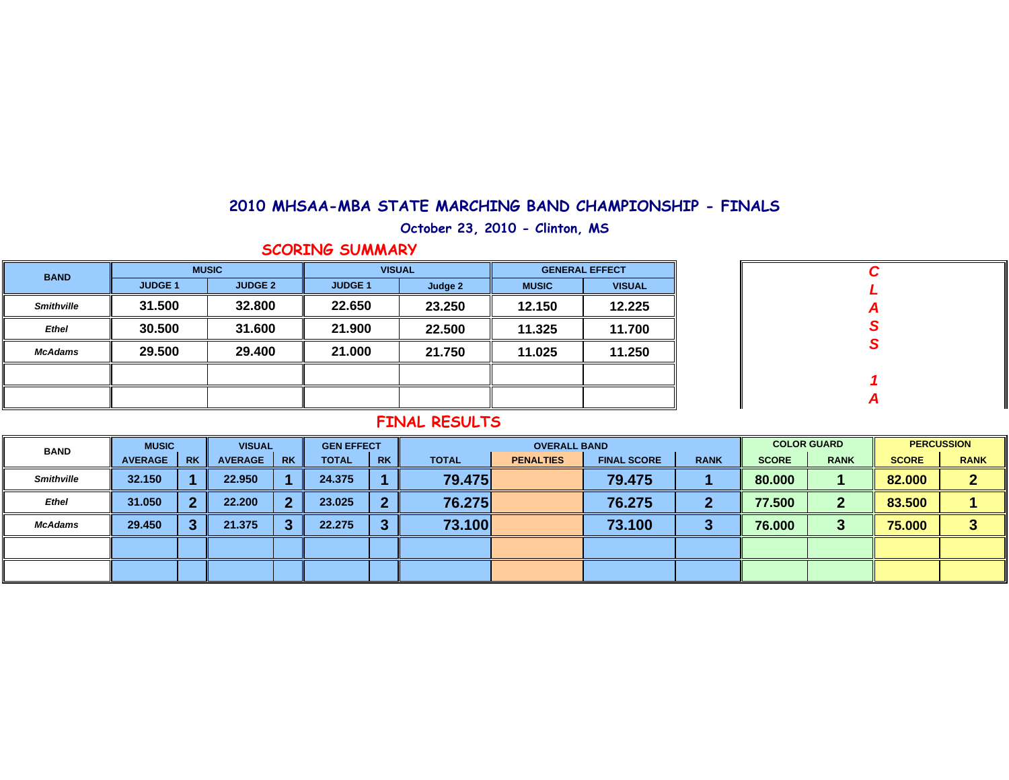**October 23, 2010 - Clinton, MS**

#### **SCORING SUMMARY**

| <b>BAND</b>       |                | <b>MUSIC</b>   | <b>VISUAL</b>  |         |              | <b>GENERAL EFFECT</b> |
|-------------------|----------------|----------------|----------------|---------|--------------|-----------------------|
|                   | <b>JUDGE 1</b> | <b>JUDGE 2</b> | <b>JUDGE 1</b> | Judge 2 | <b>MUSIC</b> | <b>VISUAL</b>         |
| <b>Smithville</b> | 31.500         | 32.800         | 22.650         | 23.250  | 12.150       | 12.225                |
| <b>Ethel</b>      | 30.500         | 31.600         | 21.900         | 22.500  | 11.325       | 11.700                |
| <b>McAdams</b>    | 29.500         | 29.400         | 21.000         | 21.750  | 11.025       | 11.250                |
|                   |                |                |                |         |              |                       |
|                   |                |                |                |         |              |                       |
|                   |                |                |                |         |              |                       |

| C                |  |
|------------------|--|
| L                |  |
| $\boldsymbol{A}$ |  |
| $\overline{s}$   |  |
|                  |  |
|                  |  |
| 1                |  |
| $\boldsymbol{A}$ |  |

| <b>BAND</b>       | <b>MUSIC</b>   |           | <b>VISUAL</b>  |           | <b>GEN EFFECT</b> |           |              | <b>OVERALL BAND</b> |                    |             |              | <b>COLOR GUARD</b> | <b>PERCUSSION</b> |             |  |
|-------------------|----------------|-----------|----------------|-----------|-------------------|-----------|--------------|---------------------|--------------------|-------------|--------------|--------------------|-------------------|-------------|--|
|                   | <b>AVERAGE</b> | <b>RK</b> | <b>AVERAGE</b> | <b>RK</b> | <b>TOTAL</b>      | <b>RK</b> | <b>TOTAL</b> | <b>PENALTIES</b>    | <b>FINAL SCORE</b> | <b>RANK</b> | <b>SCORE</b> | <b>RANK</b>        | <b>SCORE</b>      | <b>RANK</b> |  |
| <b>Smithville</b> | 32.150         |           | 22.950         |           | 24.375            |           | 79.475       |                     | 79.475             |             | 80.000       |                    | 82.000            |             |  |
| <b>Ethel</b>      | 31.050         | э.        | 22.200         |           | 23.025            | 2         | 76.275       |                     | 76.275             |             | 77.500       | 2                  | 83.500            |             |  |
| McAdams           | 29,450         | - 1       | 21.375         |           | 22.275            | ≏<br>-3   | 73.100       |                     | 73.100             |             | 76.000       | ∍<br>J             | 75.000            |             |  |
|                   |                |           |                |           |                   |           |              |                     |                    |             |              |                    |                   |             |  |
|                   |                |           |                |           |                   |           |              |                     |                    |             |              |                    |                   |             |  |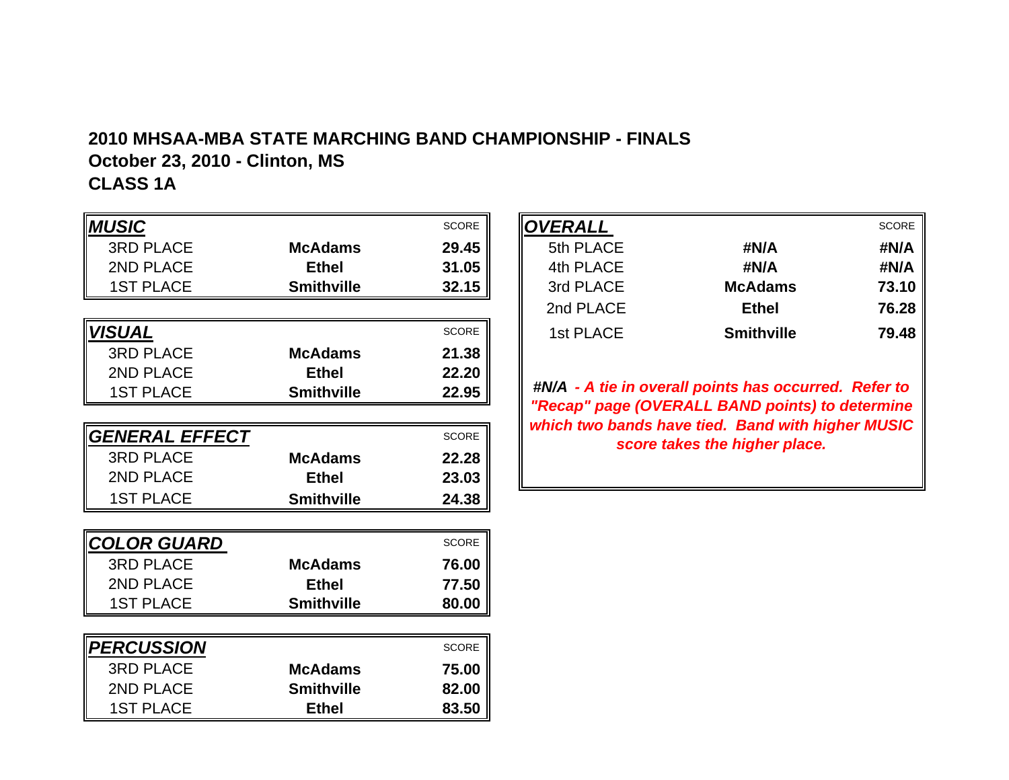# **2010 MHSAA-MBA STATE MARCHING BAND CHAMPIONSHIP - FINALS October 23, 2010 - Clinton, MS**

**CLASS 1A**

| <b>MUSIC</b><br><b>SCORE</b><br><b>3RD PLACE</b><br><b>McAdams</b><br>29.45<br>2ND PLACE<br>31.05<br><b>Ethel</b><br><b>1ST PLACE</b><br><b>Smithville</b><br>32.15<br><b>VISUAL</b><br><b>SCORE</b><br><b>3RD PLACE</b><br>McAdams<br>21.38<br>2ND PLACE<br><b>Ethel</b><br>22.20<br><b>1ST PLACE</b><br><b>Smithville</b><br>22.95<br>GENERAL EFFECT<br><b>SCORE</b><br><b>3RD PLACE</b><br>McAdams<br>22.28<br>2ND PLACE<br><b>Ethel</b><br>23.03 |
|------------------------------------------------------------------------------------------------------------------------------------------------------------------------------------------------------------------------------------------------------------------------------------------------------------------------------------------------------------------------------------------------------------------------------------------------------|
|                                                                                                                                                                                                                                                                                                                                                                                                                                                      |
|                                                                                                                                                                                                                                                                                                                                                                                                                                                      |
|                                                                                                                                                                                                                                                                                                                                                                                                                                                      |
|                                                                                                                                                                                                                                                                                                                                                                                                                                                      |
|                                                                                                                                                                                                                                                                                                                                                                                                                                                      |
|                                                                                                                                                                                                                                                                                                                                                                                                                                                      |
|                                                                                                                                                                                                                                                                                                                                                                                                                                                      |
|                                                                                                                                                                                                                                                                                                                                                                                                                                                      |
|                                                                                                                                                                                                                                                                                                                                                                                                                                                      |
|                                                                                                                                                                                                                                                                                                                                                                                                                                                      |
|                                                                                                                                                                                                                                                                                                                                                                                                                                                      |
|                                                                                                                                                                                                                                                                                                                                                                                                                                                      |
|                                                                                                                                                                                                                                                                                                                                                                                                                                                      |
| <b>1ST PLACE</b><br><b>Smithville</b><br>24.38                                                                                                                                                                                                                                                                                                                                                                                                       |
|                                                                                                                                                                                                                                                                                                                                                                                                                                                      |
| COLOR GUARD<br><b>SCORE</b>                                                                                                                                                                                                                                                                                                                                                                                                                          |
| <b>3RD PLACE</b><br><b>McAdams</b><br>76.00                                                                                                                                                                                                                                                                                                                                                                                                          |
| 2ND PLACE<br><b>Ethel</b><br>77.50                                                                                                                                                                                                                                                                                                                                                                                                                   |
| <b>1ST PLACE</b><br><b>Smithville</b><br>80.00                                                                                                                                                                                                                                                                                                                                                                                                       |
|                                                                                                                                                                                                                                                                                                                                                                                                                                                      |
| <b>PERCUSSION</b><br><b>SCORE</b>                                                                                                                                                                                                                                                                                                                                                                                                                    |
| <b>3RD PLACE</b><br><b>McAdams</b><br>75.00                                                                                                                                                                                                                                                                                                                                                                                                          |
| 2ND PLACE<br><b>Smithville</b><br>82.00                                                                                                                                                                                                                                                                                                                                                                                                              |
| <b>1ST PLACE</b><br><b>Ethel</b><br>83.50                                                                                                                                                                                                                                                                                                                                                                                                            |

|              |                   | <b>SCORE</b> | OVERALL   |                   | <b>SCORE</b> |
|--------------|-------------------|--------------|-----------|-------------------|--------------|
| <b>PLACE</b> | <b>McAdams</b>    | 29.45        | 5th PLACE | #N/A              | #N/A         |
| <b>PLACE</b> | <b>Ethel</b>      | 31.05        | 4th PLACE | #N/A              | #N/A         |
| <b>PLACE</b> | <b>Smithville</b> | 32.15        | 3rd PLACE | <b>McAdams</b>    | 73.10        |
|              |                   |              | 2nd PLACE | <b>Ethel</b>      | 76.28        |
|              |                   | <b>SCORE</b> | 1st PLACE | <b>Smithville</b> | 79.48        |
|              |                   |              |           |                   |              |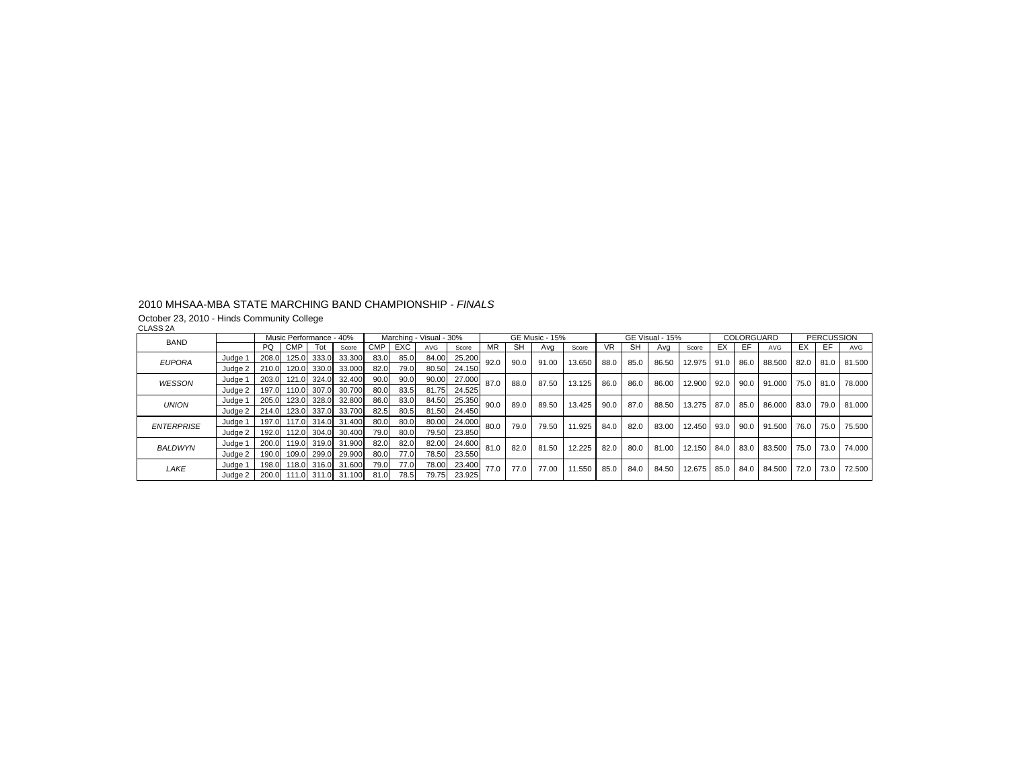October 23, 2010 - Hinds Community College CLASS 2A

| <b>BAND</b>       |         |       | Music Performance - 40% |       |                          |      |      | Marching - Visual - 30% |        |      |           | <b>GE Music - 15%</b> |        |      |           | GE Visual - 15% |        |      | COLORGUARD |            |           | <b>PERCUSSION</b> |        |
|-------------------|---------|-------|-------------------------|-------|--------------------------|------|------|-------------------------|--------|------|-----------|-----------------------|--------|------|-----------|-----------------|--------|------|------------|------------|-----------|-------------------|--------|
|                   |         | PQ.   | <b>CMP</b>              | Tot   | Score                    | CMP. | EXC  | AVG                     | Score  | MR.  | <b>SH</b> | Avg                   | Score  | VR.  | <b>SH</b> | Ava             | Score  | EX   | EF.        | <b>AVG</b> | ЕX        | EF.               | AVG    |
| <b>EUPORA</b>     | Judge 1 | 208.0 | 125.0                   | 333.0 | 33.300                   | 83.0 | 85.0 | 84.00                   | 25.200 | 92.0 | 90.0      | 91.00                 | 13.650 | 88.0 | 85.0      | 86.50           | 12.975 | 91.0 | 86.0       | 88,500     | 82.0 81.0 |                   | 81.500 |
|                   | Judge 2 |       |                         |       | 210.0 120.0 330.0 33.000 | 82.0 | 79.0 | 80.50                   | 24.150 |      |           |                       |        |      |           |                 |        |      |            |            |           |                   |        |
| <b>WESSON</b>     | Judge 1 |       | 203.0 121.0             | 324.0 | 32.400                   | 90.0 | 90.0 | 90.00                   | 27.000 | 87.0 | 88.0      | 87.50                 | 13.125 | 86.0 | 86.0      | 86.00           | 12.900 | 92.0 | 90.0       | 91.000     | 75.0 81.0 |                   | 78.000 |
|                   | Judge 2 | 197.0 | 110.0                   | 307.0 | 30.700                   | 80.0 | 83.5 | 81.75                   | 24.525 |      |           |                       |        |      |           |                 |        |      |            |            |           |                   |        |
| <b>UNION</b>      | Judge 1 |       | 205.0 123.0 328.0       |       | 32.800                   | 86.0 | 83.0 | 84.50                   | 25.350 | 90.0 | 89.0      | 89.50                 | 13.425 | 90.0 | 87.0      | 88.50           | 13.275 | 87.0 | 85.0       | 86.000     | 83.0      | 79.0              | 81.000 |
|                   | Judge 2 |       |                         |       | 214.0 123.0 337.0 33.700 | 82.5 | 80.5 | 81.50                   | 24.450 |      |           |                       |        |      |           |                 |        |      |            |            |           |                   |        |
| <b>ENTERPRISE</b> | Judge 1 | 197.0 |                         |       | 117.0 314.0 31.400       | 80.0 | 80.0 | 80.00                   | 24.000 | 80.0 | 79.0      | 79.50                 | 11.925 | 84.0 | 82.0      | 83.00           | 12.450 | 93.0 | 90.0       | 91.500     | 76.0      | 75.0              | 75.500 |
|                   | Judge 2 |       | 192.0 112.0             |       | 304.0 30.400             | 79.0 | 80.0 | 79.50                   | 23.850 |      |           |                       |        |      |           |                 |        |      |            |            |           |                   |        |
| <b>BALDWYN</b>    | Judge 1 |       | 200.0 119.0             |       | 319.0 31.900             | 82.0 | 82.0 | 82.00                   | 24,600 | 81.0 | 82.0      | 81.50                 | 12.225 | 82.0 | 80.0      | 81.00           | 12.150 | 84.0 | 83.0       | 83.500     | 75.0      | 73.0              | 74.000 |
|                   | Judge 2 |       | 190.0 109.0             | 299.0 | 29.900                   | 80.0 | 77.0 | 78.50                   | 23.550 |      |           |                       |        |      |           |                 |        |      |            |            |           |                   |        |
| LAKE              | Judge 1 |       | 198.0 118.0             | 316.0 | 31.600                   | 79.0 | 77.0 | 78.00                   | 23,400 | 77.0 | 77.0      | 77.00                 | 11.550 | 85.0 | 84.0      | 84.50           | 12.675 | 85.0 | 84.0       | 84.500     | 72.0      | 73.0              | 72.500 |
|                   | Judge 2 |       |                         |       | 200.0 111.0 311.0 31.100 | 81.0 | 78.5 | 79.75                   | 23.925 |      |           |                       |        |      |           |                 |        |      |            |            |           |                   |        |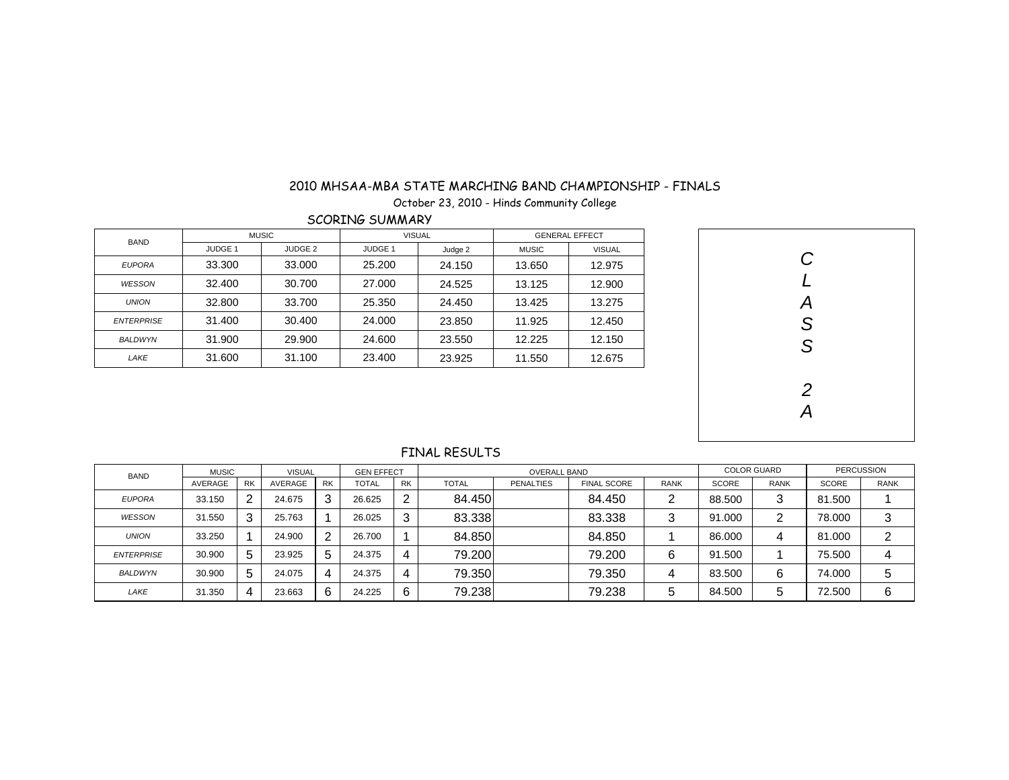October 23, 2010 - Hinds Community College

SCORING SUMMARY

| <b>BAND</b>       |                | <b>MUSIC</b>       | <b>VISUAL</b>  |         |              | <b>GENERAL EFFECT</b> |
|-------------------|----------------|--------------------|----------------|---------|--------------|-----------------------|
|                   | <b>JUDGE 1</b> | JUDGE <sub>2</sub> | <b>JUDGE 1</b> | Judge 2 | <b>MUSIC</b> | <b>VISUAL</b>         |
| <b>EUPORA</b>     | 33.300         | 33,000             | 25.200         | 24.150  | 13.650       | 12.975                |
| WESSON            | 32,400         | 30.700             | 27,000         | 24.525  | 13.125       | 12.900                |
| <b>UNION</b>      | 32,800         | 33.700             | 25.350         | 24.450  | 13.425       | 13.275                |
| <b>ENTERPRISE</b> | 31.400         | 30.400             | 24.000         | 23.850  | 11.925       | 12.450                |
| <b>BALDWYN</b>    | 31.900         | 29,900             | 24.600         | 23.550  | 12.225       | 12.150                |
| LAKE              | 31.600         | 31.100             | 23.400         | 23.925  | 11.550       | 12.675                |



| <b>BAND</b>       | <b>MUSIC</b> |    | <b>VISUAL</b> |           | <b>GEN EFFECT</b> |           |              | <b>OVERALL BAND</b> |                    |             |              | <b>COLOR GUARD</b> | <b>PERCUSSION</b> |             |  |
|-------------------|--------------|----|---------------|-----------|-------------------|-----------|--------------|---------------------|--------------------|-------------|--------------|--------------------|-------------------|-------------|--|
|                   | AVERAGE      | RK | AVERAGE       | <b>RK</b> | <b>TOTAL</b>      | <b>RK</b> | <b>TOTAL</b> | <b>PENALTIES</b>    | <b>FINAL SCORE</b> | <b>RANK</b> | <b>SCORE</b> | <b>RANK</b>        | <b>SCORE</b>      | <b>RANK</b> |  |
| <b>EUPORA</b>     | 33.150       | 2  | 24.675        | 3         | 26.625            | 2         | 84.450       |                     | 84.450             | ົ           | 88,500       | r<br>w             | 81.500            |             |  |
| WESSON            | 31.550       | 3  | 25.763        |           | 26.025            | 3         | 83.338       |                     | 83.338             | 3           | 91.000       | ⌒                  | 78.000            | 3           |  |
| <b>UNION</b>      | 33.250       |    | 24.900        | 2         | 26.700            |           | 84.850       |                     | 84.850             |             | 86.000       | 4                  | 81.000            | ົ           |  |
| <b>ENTERPRISE</b> | 30.900       | 5  | 23.925        | 5         | 24.375            | 4         | 79.200       |                     | 79.200             | 6           | 91.500       |                    | 75.500            |             |  |
| <b>BALDWYN</b>    | 30.900       | 5  | 24.075        | 4         | 24.375            | 4         | 79.350       |                     | 79.350             | 4           | 83.500       | 6                  | 74.000            | ა           |  |
| LAKE              | 31.350       | 4  | 23.663        | 6         | 24.225            | 6         | 79.238       |                     | 79.238             | ა           | 84.500       | 5                  | 72.500            | 6           |  |

FINAL RESULTS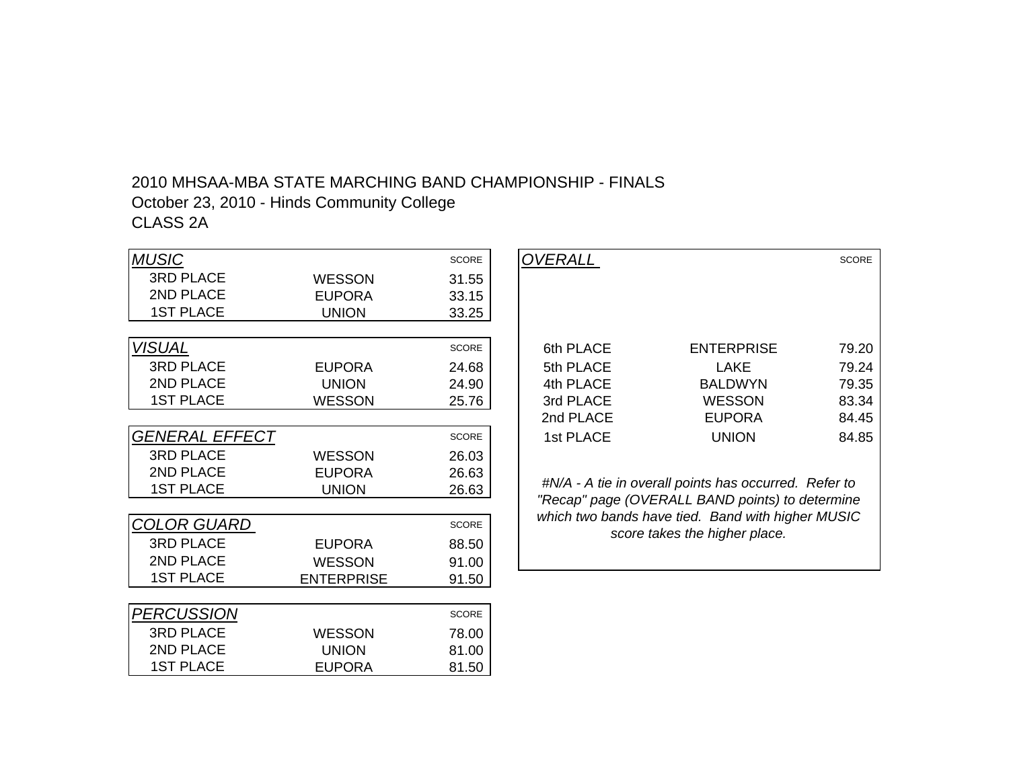# 2010 MHSAA-MBA STATE MARCHING BAND CHAMPIONSHIP - FINALSOctober 23, 2010 - Hinds Community College CLASS 2A

| <b>MUSIC</b>          |                   | <b>SCORE</b> | <i><b>OVERALL</b></i> |                                                                                                          | <b>SCORE</b> |
|-----------------------|-------------------|--------------|-----------------------|----------------------------------------------------------------------------------------------------------|--------------|
| <b>3RD PLACE</b>      | <b>WESSON</b>     | 31.55        |                       |                                                                                                          |              |
| 2ND PLACE             | <b>EUPORA</b>     | 33.15        |                       |                                                                                                          |              |
| <b>1ST PLACE</b>      | <b>UNION</b>      | 33.25        |                       |                                                                                                          |              |
|                       |                   |              |                       |                                                                                                          |              |
| <b>VISUAL</b>         |                   | <b>SCORE</b> | 6th PLACE             | <b>ENTERPRISE</b>                                                                                        | 79.20        |
| <b>3RD PLACE</b>      | <b>EUPORA</b>     | 24.68        | 5th PLACE             | <b>LAKE</b>                                                                                              | 79.24        |
| 2ND PLACE             | <b>UNION</b>      | 24.90        | 4th PLACE             | <b>BALDWYN</b>                                                                                           | 79.35        |
| <b>1ST PLACE</b>      | <b>WESSON</b>     | 25.76        | 3rd PLACE             | <b>WESSON</b>                                                                                            | 83.34        |
|                       |                   |              | 2nd PLACE             | <b>EUPORA</b>                                                                                            | 84.45        |
| <b>GENERAL EFFECT</b> |                   | <b>SCORE</b> | 1st PLACE             | <b>UNION</b>                                                                                             | 84.85        |
| <b>3RD PLACE</b>      | <b>WESSON</b>     | 26.03        |                       |                                                                                                          |              |
| 2ND PLACE             | <b>EUPORA</b>     | 26.63        |                       |                                                                                                          |              |
| <b>1ST PLACE</b>      | <b>UNION</b>      | 26.63        |                       | #N/A - A tie in overall points has occurred. Refer to<br>"Recap" page (OVERALL BAND points) to determine |              |
|                       |                   |              |                       | which two bands have tied. Band with higher MUSIC                                                        |              |
| <b>COLOR GUARD</b>    |                   | <b>SCORE</b> |                       | score takes the higher place.                                                                            |              |
| <b>3RD PLACE</b>      | <b>EUPORA</b>     | 88.50        |                       |                                                                                                          |              |
| 2ND PLACE             | <b>WESSON</b>     | 91.00        |                       |                                                                                                          |              |
| <b>1ST PLACE</b>      | <b>ENTERPRISE</b> | 91.50        |                       |                                                                                                          |              |
|                       |                   |              |                       |                                                                                                          |              |
| <b>PERCUSSION</b>     |                   | <b>SCORE</b> |                       |                                                                                                          |              |
| <b>3RD PLACE</b>      | <b>WESSON</b>     | 78.00        |                       |                                                                                                          |              |
| 2ND PLACE             | <b>UNION</b>      | 81.00        |                       |                                                                                                          |              |
| <b>1ST PLACE</b>      | <b>EUPORA</b>     | 81.50        |                       |                                                                                                          |              |

|                 | <b>SCORE</b> | <b>OVERALL</b> |                                                       | <b>SCORE</b> |
|-----------------|--------------|----------------|-------------------------------------------------------|--------------|
| <b>WESSON</b>   | 31.55        |                |                                                       |              |
| <b>EUPORA</b>   | 33.15        |                |                                                       |              |
| <b>UNION</b>    | 33.25        |                |                                                       |              |
|                 |              |                |                                                       |              |
|                 | SCORE        | 6th PLACE      | <b>ENTERPRISE</b>                                     | 79.20        |
| <b>EUPORA</b>   | 24.68        | 5th PLACE      | <b>LAKE</b>                                           | 79.24        |
| <b>UNION</b>    | 24.90        | 4th PLACE      | <b>BALDWYN</b>                                        | 79.35        |
| <b>WESSON</b>   | 25.76        | 3rd PLACE      | <b>WESSON</b>                                         | 83.34        |
|                 |              | 2nd PLACE      | <b>EUPORA</b>                                         | 84.45        |
|                 | SCORE        | 1st PLACE      | <b>UNION</b>                                          | 84.85        |
| <b>WESSON</b>   | 26.03        |                |                                                       |              |
| <b>EUPORA</b>   | 26.63        |                |                                                       |              |
| <b>LINILONI</b> | າຂ ຂາ        |                | #N/A - A tie in overall points has occurred. Refer to |              |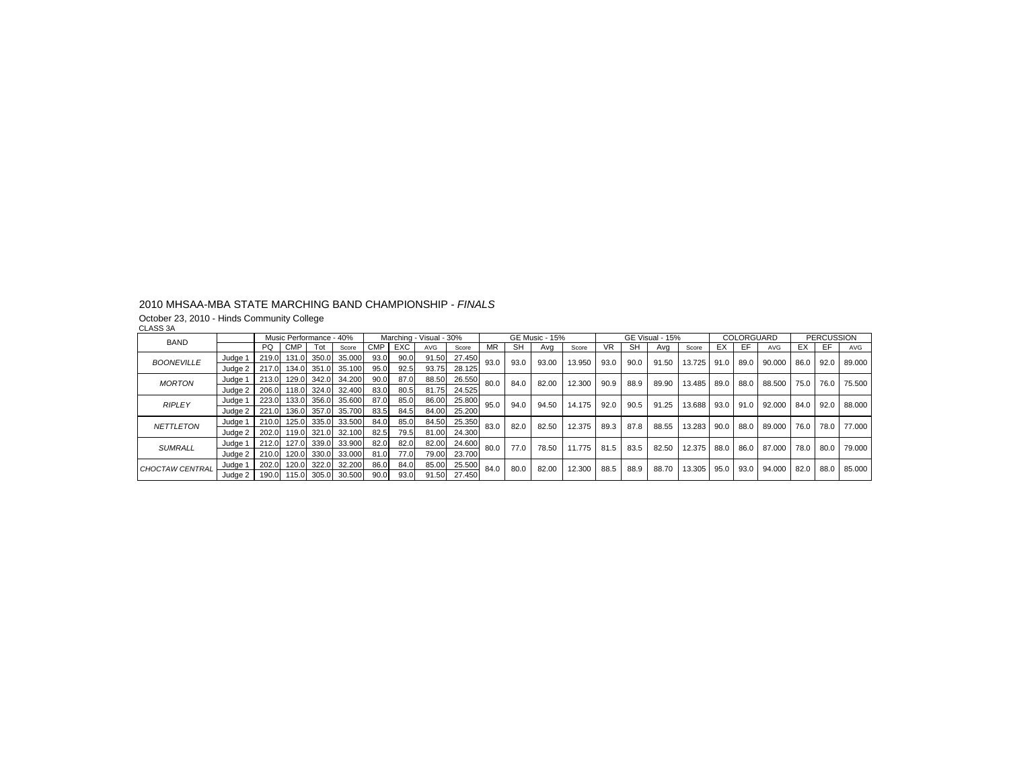October 23, 2010 - Hinds Community College CLASS 3A

| הט טהושט          |         |       |             | Music Performance - 40% |        |            |      | Marching - Visual - 30% |        |           |      | <b>GE Music - 15%</b> |        |      |           | GE Visual - 15% |        |      | COLORGUARD |        |           | <b>PERCUSSION</b> |            |
|-------------------|---------|-------|-------------|-------------------------|--------|------------|------|-------------------------|--------|-----------|------|-----------------------|--------|------|-----------|-----------------|--------|------|------------|--------|-----------|-------------------|------------|
| <b>BAND</b>       |         | PQ    | <b>CMP</b>  | Tot                     | Score  | <b>CMP</b> | EXC  | <b>AVG</b>              | Score  | <b>MR</b> | SH   | Ava                   | Score  | VR.  | <b>SH</b> | Ava             | Score  | EX   | EF.        | AVG    | EX        | EF.               | <b>AVG</b> |
| <b>BOONEVILLE</b> | Judge 1 | 219.0 | 131.0       | 350.0                   | 35.000 | 93.0       | 90.0 | 91.50                   | 27.450 | 93.0      | 93.0 | 93.00                 | 13.950 | 93.0 | 90.0      | 91.50           | 13.725 | 91.0 | 89.0       | 90.000 | 86.0      | 92.0              | 89.000     |
|                   | Judge 2 |       |             | 217.0 134.0 351.0       | 35.100 | 95.0       | 92.5 | 93.75                   | 28.125 |           |      |                       |        |      |           |                 |        |      |            |        |           |                   |            |
| <b>MORTON</b>     | Judge 1 |       | 213.0 129.0 | 342.0                   | 34.200 | 90.0       | 87.0 | 88.50                   | 26.550 | 80.0      | 84.0 | 82.00                 | 12.300 | 90.9 | 88.9      | 89.90           | 13.485 | 89.0 | 88.0       | 88.500 | 75.0      | 76.0              | 75.500     |
|                   | Judge 2 | 206.0 | 118.0       | 324.0                   | 32.400 | 83.0       | 80.5 | 81.75                   | 24.525 |           |      |                       |        |      |           |                 |        |      |            |        |           |                   |            |
| <b>RIPLEY</b>     | Judge 1 | 223.0 |             | 133.0 356.0             | 35.600 | 87.0       | 85.0 | 86.00                   | 25.800 | 95.0      | 94.0 | 94.50                 | 14.175 | 92.0 | 90.5      | 91.25           | 13.688 | 93.0 | 91.0       | 92.000 | 84.0      | 92.0              | 88,000     |
|                   | Judae 2 | 221.0 | 136.0       | 357.0                   | 35.700 | 83.5       | 84.5 | 84.00                   | 25.200 |           |      |                       |        |      |           |                 |        |      |            |        |           |                   |            |
| <b>NETTLETON</b>  | Judge 1 | 210.0 | 125.0       | 335.0                   | 33.500 | 84.0       | 85.0 | 84.50                   | 25.350 | 83.0      | 82.0 | 82.50                 | 12.375 | 89.3 | 87.8      | 88.55           | 13.283 | 90.0 | 88.0       | 89.000 |           | 76.0 78.0         | 77.000     |
|                   | Judge 2 |       |             | 202.0 119.0 321.0       | 32.100 | 82.5       | 79.5 | 81.00                   | 24.300 |           |      |                       |        |      |           |                 |        |      |            |        |           |                   |            |
| <b>SUMRALL</b>    | Judge 1 |       |             | 212.0 127.0 339.0       | 33.900 | 82.0       | 82.0 | 82.00                   | 24.600 | 80.0      | 77.0 | 78.50                 | 11.775 | 81.5 | 83.5      | 82.50           | 12.375 | 88.0 | 86.0       | 87,000 | 78.0 80.0 |                   | 79.000     |
|                   | Judge 2 | 210.0 | 120.0       | 330.0                   | 33.000 | 81.0       | 77.0 | 79.00                   | 23.700 |           |      |                       |        |      |           |                 |        |      |            |        |           |                   |            |
| CHOCTAW CENTRAL   | Judge 1 | 202.0 | 120.0       | 322.0                   | 32.200 | 86.0       | 84.0 | 85.00                   | 25.500 | 84.0      | 80.0 | 82.00                 | 12.300 | 88.5 | 88.9      | 88.70           | 13.305 | 95.0 | 93.0       | 94.000 | 82.0      | 88.0              | 85.000     |
|                   | Judae 2 |       |             | 190.0 115.0 305.0       | 30.500 | 90.0       | 93.0 | 91.50                   | 27.450 |           |      |                       |        |      |           |                 |        |      |            |        |           |                   |            |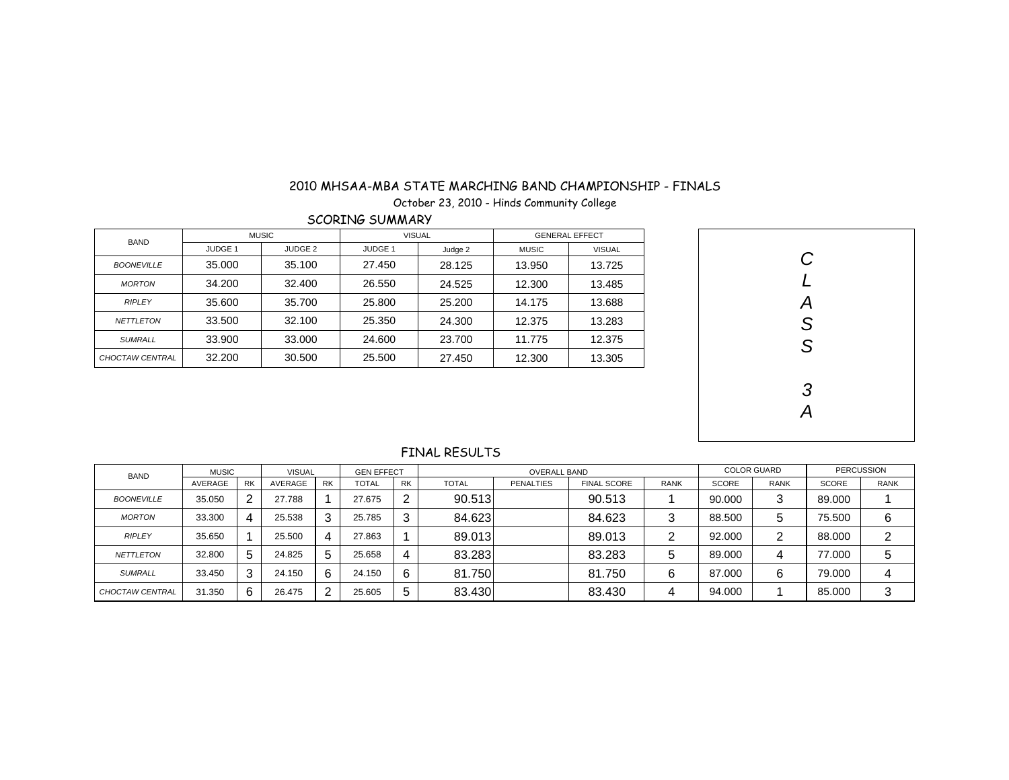October 23, 2010 - Hinds Community College

SCORING SUMMARY

| <b>BAND</b>            |                | <b>MUSIC</b>       | <b>VISUAL</b>  |         | <b>GENERAL EFFECT</b> |               |  |  |  |
|------------------------|----------------|--------------------|----------------|---------|-----------------------|---------------|--|--|--|
|                        | <b>JUDGE 1</b> | JUDGE <sub>2</sub> | <b>JUDGE 1</b> | Judge 2 | <b>MUSIC</b>          | <b>VISUAL</b> |  |  |  |
| <b>BOONEVILLE</b>      | 35,000         | 35.100             | 27.450         | 28.125  | 13.950                | 13.725        |  |  |  |
| <b>MORTON</b>          | 34.200         | 32.400             | 26.550         | 24.525  | 12.300                | 13.485        |  |  |  |
| <b>RIPLEY</b>          | 35.600         | 35.700             | 25.800         | 25.200  | 14.175                | 13.688        |  |  |  |
| <b>NETTLETON</b>       | 33.500         | 32.100             | 25,350         | 24.300  | 12.375                | 13.283        |  |  |  |
| <b>SUMRALL</b>         | 33.900         | 33,000             | 24.600         | 23.700  | 11.775                | 12.375        |  |  |  |
| <b>CHOCTAW CENTRAL</b> | 32.200         | 30.500             | 25.500         | 27.450  | 12.300                | 13.305        |  |  |  |



| <b>BAND</b>            | <b>MUSIC</b> |           | <b>VISUAL</b> |           |              | <b>GEN EFFECT</b><br><b>OVERALL BAND</b> |              |                  |                    |             |              | <b>COLOR GUARD</b> | <b>PERCUSSION</b> |             |
|------------------------|--------------|-----------|---------------|-----------|--------------|------------------------------------------|--------------|------------------|--------------------|-------------|--------------|--------------------|-------------------|-------------|
|                        | AVERAGE      | <b>RK</b> | AVERAGE       | <b>RK</b> | <b>TOTAL</b> | <b>RK</b>                                | <b>TOTAL</b> | <b>PENALTIES</b> | <b>FINAL SCORE</b> | <b>RANK</b> | <b>SCORE</b> | <b>RANK</b>        | <b>SCORE</b>      | <b>RANK</b> |
| <b>BOONEVILLE</b>      | 35.050       | 2         | 27.788        |           | 27.675       | 2                                        | 90.513       |                  | 90.513             |             | 90.000       | 3                  | 89.000            |             |
| <b>MORTON</b>          | 33.300       | 4         | 25.538        | 3         | 25.785       | 3                                        | 84.623       |                  | 84.623             | 3           | 88,500       | 5                  | 75.500            | 6           |
| <b>RIPLEY</b>          | 35.650       |           | 25.500        | 4         | 27.863       |                                          | 89.013       |                  | 89.013             | ົ<br>∼      | 92.000       | ာ                  | 88,000            | ⌒           |
| <b>NETTLETON</b>       | 32.800       | 5         | 24.825        | 5         | 25.658       | 4                                        | 83.283       |                  | 83.283             | 5           | 89,000       | 4                  | 77.000            | 5           |
| <b>SUMRALL</b>         | 33.450       | 3         | 24.150        | 6         | 24.150       | 6                                        | 81.750       |                  | 81.750             | 6           | 87.000       | 6                  | 79.000            | 4           |
| <b>CHOCTAW CENTRAL</b> | 31.350       | 6         | 26.475        |           | 25.605       | 5                                        | 83.430       |                  | 83.430             | 4           | 94.000       |                    | 85,000            | ◠           |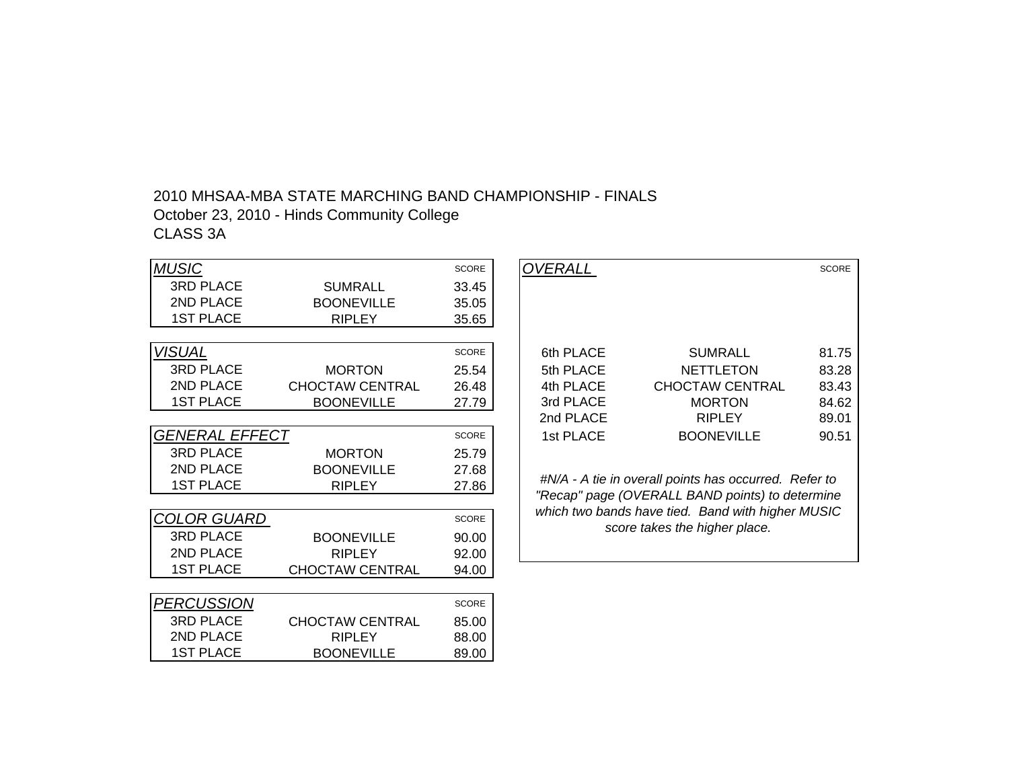## 2010 MHSAA-MBA STATE MARCHING BAND CHAMPIONSHIP - FINALS October 23, 2010 - Hinds Community College CLASS 3A

| <b>MUSIC</b>                 |                        | <b>SCORE</b> |
|------------------------------|------------------------|--------------|
| <b>3RD PLACE</b>             | SUMRALL                | 33.45        |
| 2ND PLACE                    | <b>BOONEVILLE</b>      | 35.05        |
| <b>1ST PLACE</b>             | <b>RIPLEY</b>          | 35.65        |
|                              |                        |              |
| VI <u>SUAL</u>               |                        | <b>SCORE</b> |
| <b>3RD PLACE</b>             | <b>MORTON</b>          | 25.54        |
| 2ND PLACE                    | <b>CHOCTAW CENTRAL</b> | 26.48        |
| <b>1ST PLACE</b>             | <b>BOONEVILLE</b>      | 27.79        |
|                              |                        |              |
| <i><b>GENERAL EFFECT</b></i> |                        | <b>SCORE</b> |
| <b>3RD PLACE</b>             | <b>MORTON</b>          | 25.79        |
| <b>2ND PLACE</b>             | <b>BOONEVILLE</b>      | 27.68        |
| <b>1ST PLACE</b>             | <b>RIPLEY</b>          | 27.86        |
|                              |                        |              |
| <i>COLOR GUARD</i>           |                        | <b>SCORE</b> |
| <b>3RD PLACE</b>             | <b>BOONEVILLE</b>      | 90.00        |
| <b>2ND PLACE</b>             | <b>RIPLEY</b>          | 92.00        |
| <b>1ST PLACE</b>             | <b>CHOCTAW CENTRAL</b> | 94.00        |
|                              |                        |              |
| <b>PERCUSSION</b>            |                        | <b>SCORE</b> |
| <b>3RD PLACE</b>             | <b>CHOCTAW CENTRAL</b> | 85.00        |
| <b>2ND PLACE</b>             | <b>RIPLEY</b>          | 88.00        |
| <b>1ST PLACE</b>             | <b>BOONEVILLE</b>      | 89.00        |

|                   |                        | <b>SCORE</b> | <b>OVERALL</b> |                                                          | <b>SCORE</b> |
|-------------------|------------------------|--------------|----------------|----------------------------------------------------------|--------------|
| <b>PLACE</b>      | <b>SUMRALL</b>         | 33.45        |                |                                                          |              |
| <b>PLACE</b>      | <b>BOONEVILLE</b>      | 35.05        |                |                                                          |              |
| PLACE             | <b>RIPLEY</b>          | 35.65        |                |                                                          |              |
|                   |                        |              |                |                                                          |              |
|                   |                        | <b>SCORE</b> | 6th PLACE      | <b>SUMRALL</b>                                           | 81.75        |
| <b>PLACE</b>      | <b>MORTON</b>          | 25.54        | 5th PLACE      | <b>NETTLETON</b>                                         | 83.28        |
| <b>PLACE</b>      | <b>CHOCTAW CENTRAL</b> | 26.48        | 4th PLACE      | CHOCTAW CENTRAL                                          | 83.43        |
| <b>PLACE</b>      | <b>BOONEVILLE</b>      | 27.79        | 3rd PLACE      | <b>MORTON</b>                                            | 84.62        |
|                   |                        |              | 2nd PLACE      | <b>RIPLEY</b>                                            | 89.01        |
| <i>RAL EFFECT</i> |                        | <b>SCORE</b> | 1st PLACE      | <b>BOONEVILLE</b>                                        | 90.51        |
| <b>PLACE</b>      | <b>MORTON</b>          | 25.79        |                |                                                          |              |
| <b>PLACE</b>      | <b>BOONEVILLE</b>      | 27.68        |                |                                                          |              |
|                   |                        |              |                | $H N/A$ - A tie in overall points has occurred. Refer to |              |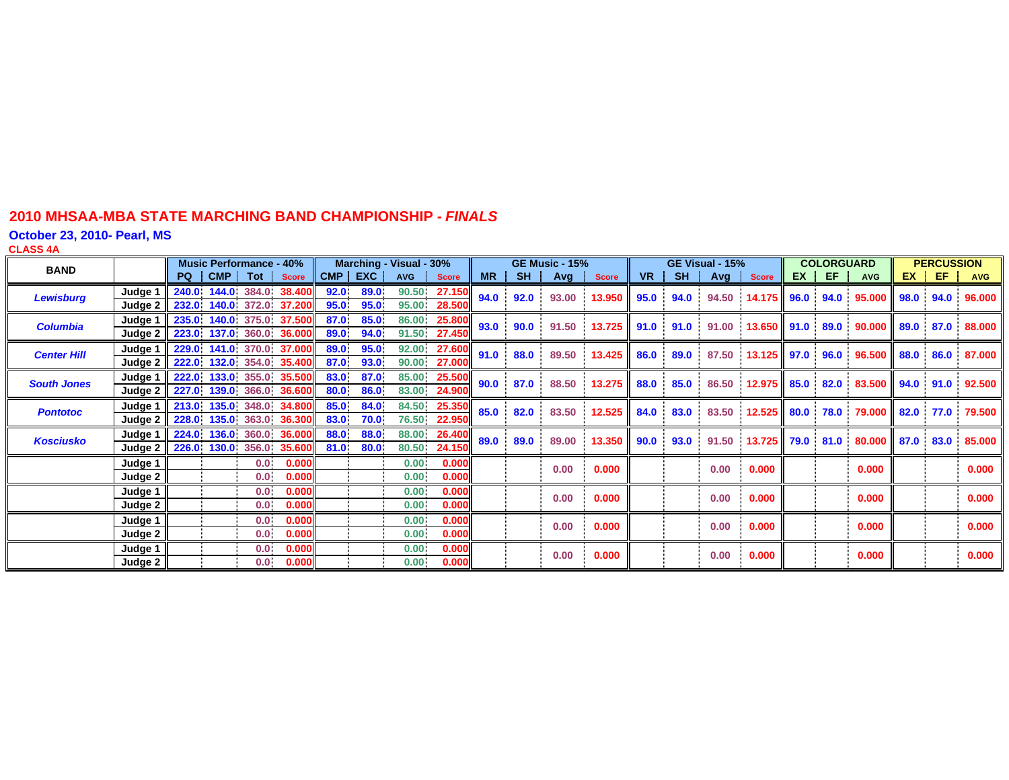**October 23, 2010- Pearl, MS**

**CLASS 4 A**

| <b>BAND</b>        |                                | <b>Music Performance - 40%</b> |                  |                                                      | Marching - Visual - 30% |              |                |                        |           | <b>GE Music - 15%</b> |              | GE Visual - 15% |           |      |              | <b>COLORGUARD</b> |  |         | <b>PERCUSSION</b> |  |         |            |
|--------------------|--------------------------------|--------------------------------|------------------|------------------------------------------------------|-------------------------|--------------|----------------|------------------------|-----------|-----------------------|--------------|-----------------|-----------|------|--------------|-------------------|--|---------|-------------------|--|---------|------------|
|                    |                                |                                |                  | PQ CMP Tot Score                                     |                         | CMP EXC      |                | AVG Score              | <b>MR</b> |                       | SH Avg Score |                 | <b>VR</b> |      | SH Avg Score |                   |  | $EX$ EF | <b>AVG</b>        |  | $EX$ EF | <b>AVG</b> |
| <b>Lewisburg</b>   | Judge 1                        | 240.0 144.0 384.0              |                  | <b>38.400</b><br>232.0 140.0 372.0 37.200            | 92.0<br>95.0            | 89.0<br>95.0 | 90.50<br>95.00 | 27.150<br>28.500       | 94.0      | 92.0                  | 93.00        | 13.950          | 95.0      | 94.0 | 94.50        | 14.175 96.0       |  | 94.0    | 95.000 98.0       |  | 94.0    | 96.000     |
|                    | Judge 2                        |                                |                  |                                                      |                         |              |                |                        |           |                       |              |                 |           |      |              |                   |  |         |                   |  |         |            |
| <b>Columbia</b>    | Judge 1<br>Judge $2 \parallel$ |                                |                  | 235.0 140.0 375.0 37.500<br>223.0 137.0 360.0 36.000 | 87.0<br>89.0            | 85.0<br>94.0 | 86.00          | 25.800<br>91.50 27.450 | 93.0      | 90.0                  | 91.50        | 13.725          | 91.0      | 91.0 | 91.00        | 13.650 91.0       |  | 89.0    | $90.000$ 89.0     |  | 87.0    | 88.000     |
|                    | Judge 1 $\parallel$            | 229.0 141.0 370.0              |                  | <b>37.000</b>                                        | 89.0                    | 95.0         | 92.00          | 27.600                 |           |                       |              |                 |           |      |              |                   |  |         |                   |  |         |            |
| <b>Center Hill</b> | Judge 2                        | 222.0 132.0 354.0              |                  | <b>35.400</b>                                        | 87.0                    | 93.0         | 90.00          | 27.000                 | 91.0      | 88.0                  | 89.50        | 13.425          | 86.0      | 89.0 | 87.50        | 13.125 97.0       |  | 96.0    | 96.500 88.0       |  | 86.0    | 87.000     |
| <b>South Jones</b> | Judge 1                        |                                |                  | 222.0 133.0 355.0 35.500                             | 83.0                    | 87.0         | 85.00          | 25.500                 | 90.0      | 87.0                  | 88.50        | 13.275          | 88.0      | 85.0 | 86.50        | 12.975 85.0       |  | 82.0    | 83.500 94.0       |  | 91.0    | 92.500     |
|                    | Judge 2                        | 227.0 139.0 366.0              |                  | <b>36.600</b>                                        | 80.0                    | 86.0         | 83.00          | 24.900                 |           |                       |              |                 |           |      |              |                   |  |         |                   |  |         |            |
| <b>Pontotoc</b>    | Judge $1 \parallel$            | 213.0 135.0 348.0              |                  | <b>34.800</b>                                        | 85.0                    | 84.0         | 84.50          | 25.350                 | 85.0      | 82.0                  | 83.50        | 12.525          | 84.0      | 83.0 | 83.50        | 12.525 80.0 78.0  |  |         | 79.000 82.0       |  | 77.0    | 79.500     |
|                    | Judge 2                        | 228.0 135.0 363.0              |                  | <b>36.300</b>                                        | 83.0                    | 70.0         | 76.50          | 22.950                 |           |                       |              |                 |           |      |              |                   |  |         |                   |  |         |            |
| <b>Kosciusko</b>   | Judge 1                        | 224.0 136.0 360.0              |                  | <b>36.000</b>                                        | 88.0                    | 88.0         |                | 88.00 26.400           | 89.0      | 89.0                  | 89.00        | 13.350          | 90.0      | 93.0 | 91.50        | 13.725 79.0 81.0  |  |         | 80.000 87.0       |  | 83.0    | 85.000     |
|                    | Judge 2                        | 226.0 130.0 356.0              |                  | 35.600                                               | 81.0                    | 80.0         | 80.50          | 24.150                 |           |                       |              |                 |           |      |              |                   |  |         |                   |  |         |            |
|                    | Judge 1                        |                                | 0.0              | 0.000                                                |                         |              | 0.00           | 0.000                  |           |                       | 0.00         | 0.000           |           |      | 0.00         | 0.000             |  |         | 0.000             |  |         | 0.000      |
|                    | Judge 2                        |                                | 0.0 <sub>1</sub> | 0.000                                                |                         |              | 0.00           | 0.000                  |           |                       |              |                 |           |      |              |                   |  |         |                   |  |         |            |
|                    | Judge 1                        |                                | 0.0 <sub>1</sub> | 0.000                                                |                         |              | 0.00           | 0.000                  |           |                       | 0.00         | 0.000           |           |      | 0.00         | 0.000             |  |         | 0.000             |  |         | 0.000      |
|                    | Judge 2                        |                                | 0.0 <sup>1</sup> | 0.000                                                |                         |              | 0.00           | 0.000                  |           |                       |              |                 |           |      |              |                   |  |         |                   |  |         |            |
|                    | Judge 1                        |                                | 0.0              | 0.000                                                |                         |              | 0.00           | 0.000                  |           |                       | 0.00         | 0.000           |           |      | 0.00         | 0.000             |  |         | 0.000             |  |         | 0.000      |
|                    | Judge 2                        |                                | 0.0              | 0.000                                                |                         |              | 0.00           | 0.000                  |           |                       |              |                 |           |      |              |                   |  |         |                   |  |         |            |
|                    | Judge 1                        |                                | 0.0              | 0.000                                                |                         |              | 0.00.          | 0.000                  |           |                       | 0.00         | 0.000           |           |      | 0.00         | 0.000             |  |         | 0.000             |  |         | 0.000      |
|                    | Judge 2                        |                                | 0.0              | 0.000                                                |                         |              | 0.00           | 0.000                  |           |                       |              |                 |           |      |              |                   |  |         |                   |  |         |            |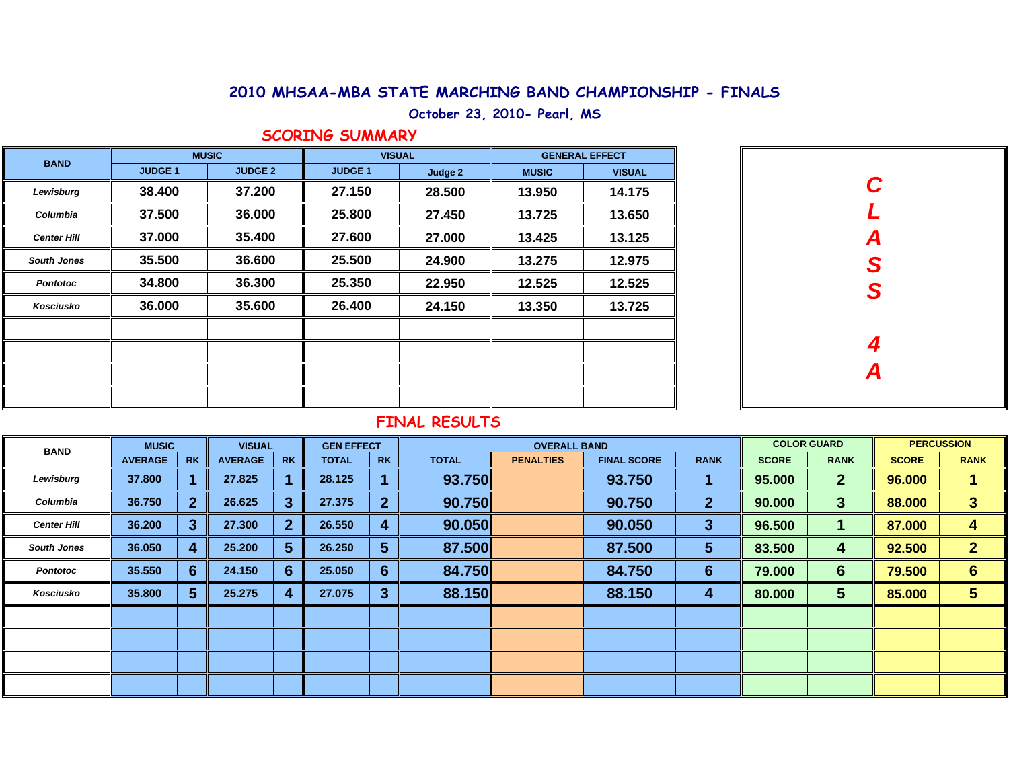**October 23, 2010- Pearl, MS**

## **SCORING SUMMARY**

| <b>BAND</b>        |                | <b>MUSIC</b>   | <b>VISUAL</b>  |         | <b>GENERAL EFFECT</b> |               |  |  |  |
|--------------------|----------------|----------------|----------------|---------|-----------------------|---------------|--|--|--|
|                    | <b>JUDGE 1</b> | <b>JUDGE 2</b> | <b>JUDGE 1</b> | Judge 2 | <b>MUSIC</b>          | <b>VISUAL</b> |  |  |  |
| Lewisburg          | 38.400         | 37.200         | 27.150         | 28.500  | 13.950                | 14.175        |  |  |  |
| Columbia           | 37.500         | 36.000         | 25.800         | 27.450  | 13.725                | 13.650        |  |  |  |
| <b>Center Hill</b> | 37.000         | 35.400         | 27.600         | 27.000  | 13.425                | 13.125        |  |  |  |
| <b>South Jones</b> | 35.500         | 36.600         | 25.500         | 24.900  | 13.275                | 12.975        |  |  |  |
| <b>Pontotoc</b>    | 34.800         | 36.300         | 25.350         | 22.950  | 12.525                | 12.525        |  |  |  |
| Kosciusko          | 36.000         | 35.600         | 26.400         | 24.150  | 13.350                | 13.725        |  |  |  |
|                    |                |                |                |         |                       |               |  |  |  |
|                    |                |                |                |         |                       |               |  |  |  |
|                    |                |                |                |         |                       |               |  |  |  |
|                    |                |                |                |         |                       |               |  |  |  |

| $\boldsymbol{C}$<br>$\overline{L}$<br>A<br>S<br>S |  |
|---------------------------------------------------|--|
| $\frac{4}{A}$                                     |  |

| <b>BAND</b>        | <b>MUSIC</b>   |             | <b>VISUAL</b>  |           | <b>GEN EFFECT</b> |                |              | <b>OVERALL BAND</b> |                    |              |              | <b>COLOR GUARD</b> | <b>PERCUSSION</b> |                 |  |
|--------------------|----------------|-------------|----------------|-----------|-------------------|----------------|--------------|---------------------|--------------------|--------------|--------------|--------------------|-------------------|-----------------|--|
|                    | <b>AVERAGE</b> | <b>RK</b>   | <b>AVERAGE</b> | <b>RK</b> | <b>TOTAL</b>      | <b>RK</b>      | <b>TOTAL</b> | <b>PENALTIES</b>    | <b>FINAL SCORE</b> | <b>RANK</b>  | <b>SCORE</b> | <b>RANK</b>        | <b>SCORE</b>      | <b>RANK</b>     |  |
| Lewisburg          | 37.800         |             | 27.825         |           | 28.125            |                | 93.750       |                     | 93.750             |              | 95.000       | $\mathbf{2}$       | 96.000            |                 |  |
| Columbia           | 36.750         | $2^{\circ}$ | 26.625         | 3         | 27.375            | $\overline{2}$ | 90.750       |                     | 90.750             | $\mathbf{2}$ | 90.000       | 3                  | 88.000            | 3               |  |
| <b>Center Hill</b> | 36.200         | 3           | 27.300         | 2         | 26.550            | 4              | 90.050       |                     | 90.050             | 3            | 96.500       |                    | 87.000            | 4               |  |
| <b>South Jones</b> | 36.050         | 4           | 25.200         | 5         | 26.250            | $5\phantom{1}$ | 87.500       |                     | 87.500             | 5            | 83.500       | 4                  | 92.500            | $\mathbf{2}$    |  |
| <b>Pontotoc</b>    | 35.550         | 6           | 24.150         | 6         | 25.050            | 6              | 84.750       |                     | 84.750             | 6            | 79.000       | $6\phantom{1}$     | 79.500            | $6\phantom{1}6$ |  |
| Kosciusko          | 35.800         | 5           | 25.275         |           | 27.075            | $\mathbf{3}$   | 88.150       |                     | 88.150             | 4            | 80.000       | 5                  | 85.000            | 5               |  |
|                    |                |             |                |           |                   |                |              |                     |                    |              |              |                    |                   |                 |  |
|                    |                |             |                |           |                   |                |              |                     |                    |              |              |                    |                   |                 |  |
|                    |                |             |                |           |                   |                |              |                     |                    |              |              |                    |                   |                 |  |
|                    |                |             |                |           |                   |                |              |                     |                    |              |              |                    |                   |                 |  |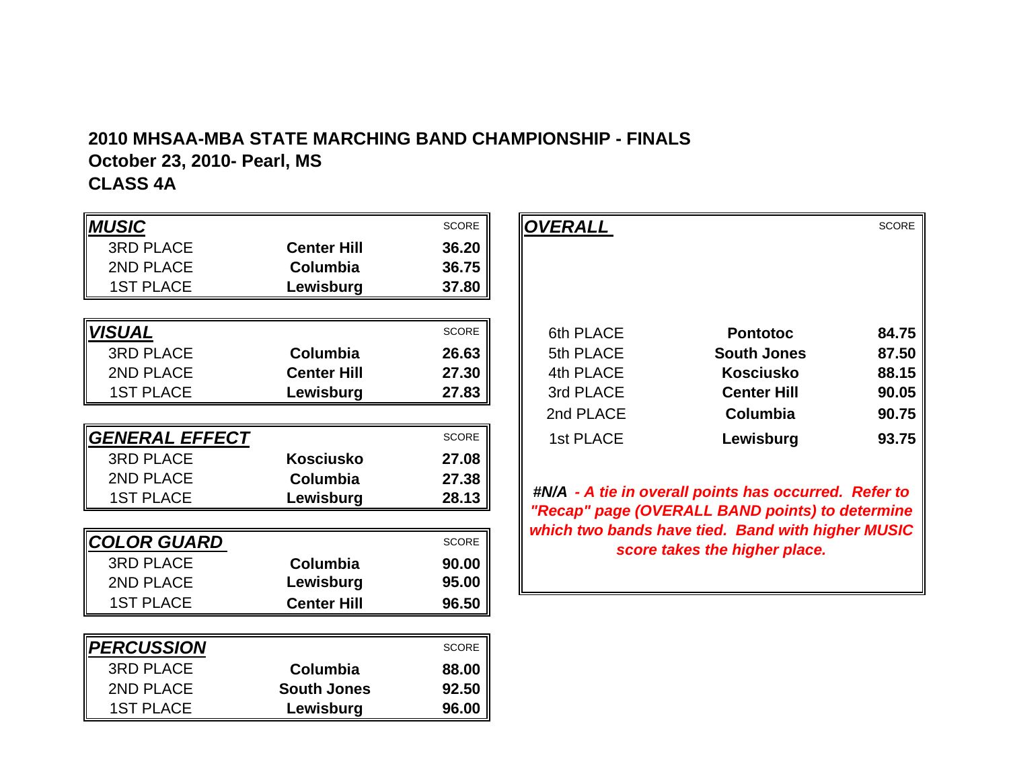# **2010 MHSAA-MBA STATE MARCHING BAND CHAMPIONSHIP - FINALS October 23, 2010- Pearl, MS**

## **CLASS 4A**

| <b>MUSIC</b>          |                    | <b>SCORE</b> |
|-----------------------|--------------------|--------------|
| <b>3RD PLACE</b>      | <b>Center Hill</b> | 36.20        |
| 2ND PLACE             | Columbia           | 36.75        |
| <b>1ST PLACE</b>      | Lewisburg          | 37.80        |
|                       |                    |              |
| <b>VISUAL</b>         |                    | <b>SCORE</b> |
| <b>3RD PLACE</b>      | Columbia           | 26.63        |
| 2ND PLACE             | <b>Center Hill</b> | 27.30        |
| <b>1ST PLACE</b>      | Lewisburg          | 27.83        |
|                       |                    |              |
| <b>GENERAL EFFECT</b> |                    | <b>SCORE</b> |
| <b>3RD PLACE</b>      | <b>Kosciusko</b>   | 27.08        |
| 2ND PLACE             | Columbia           | 27.38        |
| <b>1ST PLACE</b>      | Lewisburg          | 28.13        |
|                       |                    |              |
| <b>COLOR GUARD</b>    |                    | <b>SCORE</b> |
| <b>3RD PLACE</b>      | Columbia           | 90.00        |
| 2ND PLACE             | Lewisburg          | 95.00        |
| <b>1ST PLACE</b>      | <b>Center Hill</b> | 96.50        |
|                       |                    |              |
| <b>PERCUSSION</b>     |                    | <b>SCORE</b> |
| <b>3RD PLACE</b>      | Columbia           | 88.00        |
| 2ND PLACE             | <b>South Jones</b> | 92.50        |
| <b>1ST PLACE</b>      | Lewisburg          | 96.00        |

|              |                                                                          | <b>SCORE</b> | OVERALL   |                    | <b>SCORE</b> |
|--------------|--------------------------------------------------------------------------|--------------|-----------|--------------------|--------------|
| <b>PLACE</b> | <b>Center Hill</b>                                                       | 36.20        |           |                    |              |
| <b>PLACE</b> | <b>Columbia</b>                                                          | 36.75        |           |                    |              |
| PLACE        | Lewisburg                                                                | 37.80        |           |                    |              |
|              |                                                                          |              |           |                    |              |
|              |                                                                          | <b>SCORE</b> | 6th PLACE | <b>Pontotoc</b>    | 84.75        |
| <b>PLACE</b> | <b>Columbia</b>                                                          | 26.63        | 5th PLACE | <b>South Jones</b> | 87.50        |
| <b>PLACE</b> | <b>Center Hill</b>                                                       | 27.30        | 4th PLACE | <b>Kosciusko</b>   | 88.15        |
| PLACE        | Lewisburg                                                                | 27.83        | 3rd PLACE | <b>Center Hill</b> | 90.05        |
|              |                                                                          |              | 2nd PLACE | Columbia           | 90.75        |
| RAL EFFECT   |                                                                          | <b>SCORE</b> | 1st PLACE | Lewisburg          | 93.75        |
| DI AOF       | $\mathbf{z}$ = $\mathbf{z}$ = $\mathbf{z}$ = $\mathbf{z}$ = $\mathbf{z}$ | <b>07.00</b> |           |                    |              |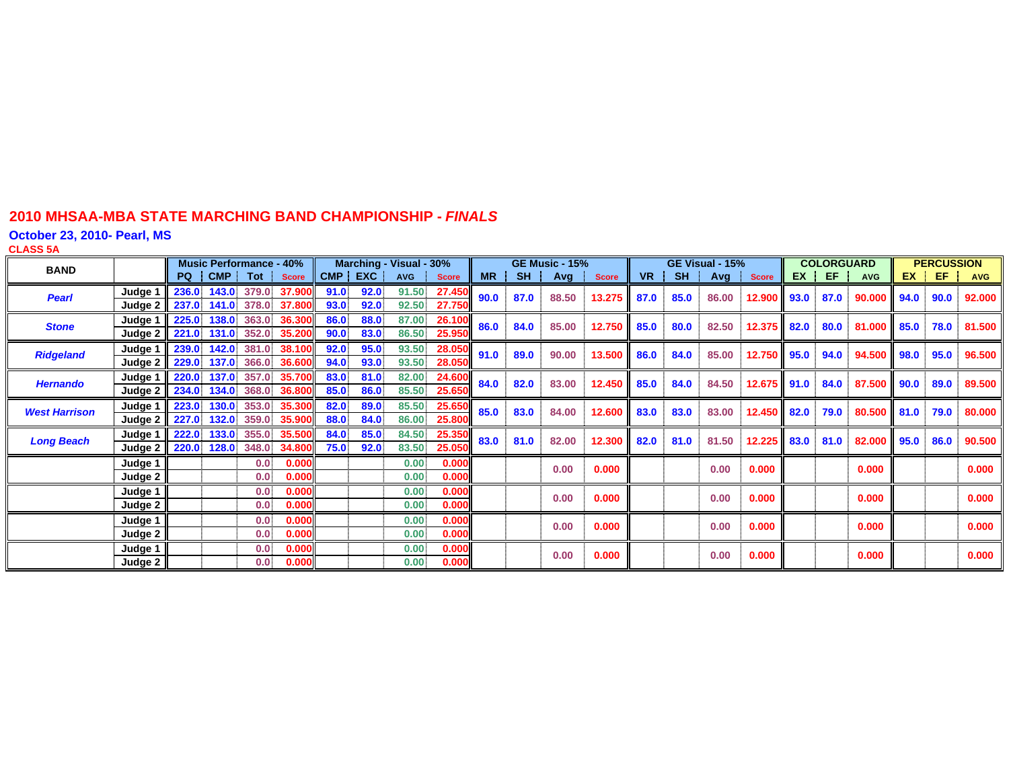**October 23, 2010- Pearl, MS**

**CLASS 5 A**

| <b>BAND</b>          |                      |       | <b>Music Performance - 40%</b> |       |                                           | Marching - Visual - 30% |              |                |                         |           | <b>GE Music - 15%</b> |           | GE Visual - 15% |           |      |                  | <b>COLORGUARD</b> |      |                  | <b>PERCUSSION</b> |      |         |            |
|----------------------|----------------------|-------|--------------------------------|-------|-------------------------------------------|-------------------------|--------------|----------------|-------------------------|-----------|-----------------------|-----------|-----------------|-----------|------|------------------|-------------------|------|------------------|-------------------|------|---------|------------|
|                      |                      |       |                                |       | PQ CMP Tot Score                          |                         | CMP EXC      |                | AVG Score               | <b>MR</b> | <b>SH</b>             | Avg Score |                 | <b>VR</b> |      | SH   Avg   Score |                   |      | $EX$ $E$ $E$ $i$ | <b>AVG</b>        |      | $EX$ EF | <b>AVG</b> |
| <b>Pearl</b>         | Judge 1<br>Judge 2   |       | 236.0 143.0 379.0              |       | <b>37.900</b><br>237.0 141.0 378.0 37.800 | 91.0<br>93.0            | 92.0<br>92.0 | 91.50<br>92.50 | 27.450<br>27.750        | 90.0      | 87.0                  | 88.50     | 13.275          | 87.0      | 85.0 | 86.00            | 12.900            | 93.0 | 87.0             | 90.000            | 94.0 | 90.0    | 92.000     |
|                      |                      |       |                                |       |                                           |                         |              |                |                         |           |                       |           |                 |           |      |                  |                   |      |                  |                   |      |         |            |
| <b>Stone</b>         | Judge 1<br>Judge 2 I |       | 225.0 138.0 363.0              |       | <b>36.300</b><br>221.0 131.0 352.0 35.200 | 86.0<br>90.0            | 88.0<br>83.0 | 87.00<br>86.50 | <b>26.100</b><br>25.950 | 86.0      | 84.0                  | 85.00     | 12.750          | 85.0      | 80.0 | 82.50            | 12.375            | 82.0 | 80.0             | 81.000            | 85.0 | 78.0    | 81.500     |
| <b>Ridgeland</b>     | Judge 1              |       | 239.0 142.0                    | 381.0 | <b>38.100</b>                             | 92.0                    | 95.0         | 93.50          | <b>28.050</b>           | 91.0      | 89.0                  | 90.00     | 13.500          | 86.0      | 84.0 | 85.00            | $12.750$ 95.0     |      | 94.0             | 94.500            | 98.0 | 95.0    | 96.500     |
|                      | Judge 2              |       | 229.0 137.0 366.0              |       | 36.600                                    | 94.0                    | 93.0         | 93.50          | 28.050                  |           |                       |           |                 |           |      |                  |                   |      |                  |                   |      |         |            |
| <b>Hernando</b>      | Judge 1              |       | 220.0 137.0 357.0              |       | <b>35.700</b>                             | 83.0                    | 81.0         | 82.00          | <b>24.600</b>           | 84.0      | 82.0                  | 83.00     | 12.450 85.0     |           | 84.0 | 84.50            | 12.675 91.0       |      | 84.0             | 87.500            | 90.0 | 89.0    | 89.500     |
|                      | Judge 2              |       | 234.0 134.0                    | 368.0 | <b>36.800</b>                             | 85.0                    | 86.0         | 85.50          | 25.650                  |           |                       |           |                 |           |      |                  |                   |      |                  |                   |      |         |            |
| <b>West Harrison</b> | Judge 1              | 223.0 | 130.0                          | 353.0 | 35.300                                    | 82.0                    | 89.0         | 85.50          | <b>25.650</b>           | 85.0      | 83.0                  | 84.00     | 12.600          | 83.0      | 83.0 | 83.00            | 12.450            | 82.0 | 79.0             | 80.500            | 81.0 | 79.0    | 80.000     |
|                      | Judge 2              | 227.0 | 132.0                          | 359.0 | <b>35.900</b>                             | 88.0                    | 84.0         | 86.00          | 25.800                  |           |                       |           |                 |           |      |                  |                   |      |                  |                   |      |         |            |
| <b>Long Beach</b>    | Judge 1              | 222.0 | 133.0                          | 355.0 | <b>35.500</b>                             | 84.0                    | 85.0         | 84.50          | 25.350                  | 83.0      | 81.0                  | 82.00     | 12.300          | 82.0      | 81.0 | 81.50            | 12.225 83.0 81.0  |      |                  | 82.000 95.0       |      | 86.0    | 90.500     |
|                      | Judge 2 I            |       | 220.0 128.0 348.0              |       | 34.800                                    | 75.0                    | 92.0         | 83.50          | 25.050                  |           |                       |           |                 |           |      |                  |                   |      |                  |                   |      |         |            |
|                      | Judge 1              |       |                                | 0.0   | 0.000                                     |                         |              | 0.00           | 0.000                   |           |                       | 0.00      | 0.000           |           |      | 0.00             | 0.000             |      |                  | 0.000             |      |         | 0.000      |
|                      | Judge 2              |       |                                | 0.0   | 0.000                                     |                         |              | 0.00           | 0.000                   |           |                       |           |                 |           |      |                  |                   |      |                  |                   |      |         |            |
|                      | Judge 1              |       |                                | 0.0   | 0.000                                     |                         |              | 0.00           | 0.000                   |           |                       | 0.00      | 0.000           |           |      | 0.00             | 0.000             |      |                  | 0.000             |      |         | 0.000      |
|                      | Judge 2              |       |                                | 0.0   | 0.000                                     |                         |              | 0.00           | 0.000                   |           |                       |           |                 |           |      |                  |                   |      |                  |                   |      |         |            |
|                      | Judge 1              |       |                                | 0.0   | 0.000                                     |                         |              | 0.00           | 0.000                   |           |                       | 0.00      | 0.000           |           |      | 0.00             | 0.000             |      |                  | 0.000             |      |         | 0.000      |
|                      | Judge 2              |       |                                | 0.0   | 0.000                                     |                         |              | 0.00           | 0.000                   |           |                       |           |                 |           |      |                  |                   |      |                  |                   |      |         |            |
|                      | Judge 1              |       |                                | 0.0   | 0.000                                     |                         |              | 0.00           | 0.000                   |           |                       | 0.00      | 0.000           |           |      | 0.00             | 0.000             |      |                  | 0.000             |      |         | 0.000      |
|                      | Judge 2              |       |                                | 0.0   | 0.000                                     |                         |              | 0.00           | 0.000                   |           |                       |           |                 |           |      |                  |                   |      |                  |                   |      |         |            |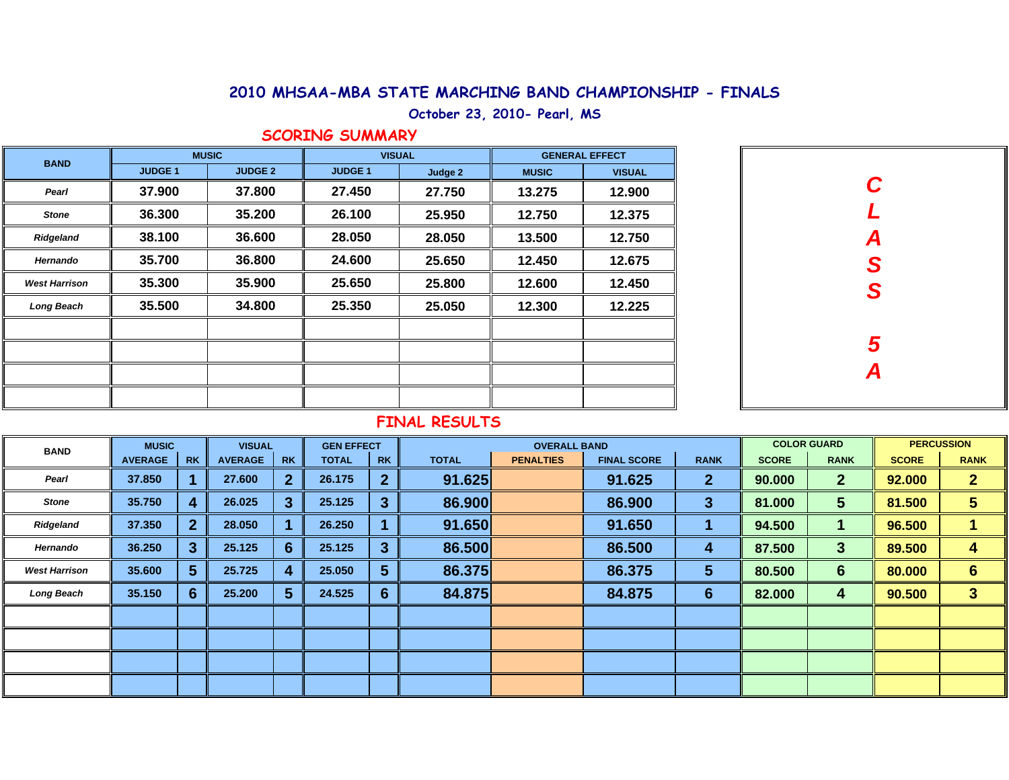**October 23, 2010- Pearl, MS**

## **SCORING SUMMARY**

| <b>BAND</b>          |                | <b>MUSIC</b>   | <b>VISUAL</b>  |         | <b>GENERAL EFFECT</b> |               |  |  |  |
|----------------------|----------------|----------------|----------------|---------|-----------------------|---------------|--|--|--|
|                      | <b>JUDGE 1</b> | <b>JUDGE 2</b> | <b>JUDGE 1</b> | Judge 2 | <b>MUSIC</b>          | <b>VISUAL</b> |  |  |  |
| Pearl                | 37.900         | 37.800         | 27.450         | 27.750  | 13.275                | 12.900        |  |  |  |
| <b>Stone</b>         | 36.300         | 35.200         | 26.100         | 25.950  | 12.750                | 12.375        |  |  |  |
| Ridgeland            | 38.100         | 36.600         | 28.050         | 28.050  | 13.500                | 12.750        |  |  |  |
| Hernando             | 35.700         | 36.800         | 24.600         | 25.650  | 12.450                | 12.675        |  |  |  |
| <b>West Harrison</b> | 35.300         | 35.900         | 25.650         | 25.800  | 12.600                | 12.450        |  |  |  |
| Long Beach           | 35.500         | 34.800         | 25.350         | 25.050  | 12.300                | 12.225        |  |  |  |
|                      |                |                |                |         |                       |               |  |  |  |
|                      |                |                |                |         |                       |               |  |  |  |
|                      |                |                |                |         |                       |               |  |  |  |
|                      |                |                |                |         |                       |               |  |  |  |

| C<br>L        |
|---------------|
|               |
| A<br>S<br>S   |
|               |
|               |
|               |
| $\frac{5}{4}$ |
|               |

| <b>BAND</b>          | <b>MUSIC</b>   |           | <b>VISUAL</b>  |           | <b>GEN EFFECT</b> |                | <b>OVERALL BAND</b> |                  |                    |              | <b>COLOR GUARD</b> |                | <b>PERCUSSION</b> |                 |
|----------------------|----------------|-----------|----------------|-----------|-------------------|----------------|---------------------|------------------|--------------------|--------------|--------------------|----------------|-------------------|-----------------|
|                      | <b>AVERAGE</b> | <b>RK</b> | <b>AVERAGE</b> | <b>RK</b> | <b>TOTAL</b>      | <b>RK</b>      | <b>TOTAL</b>        | <b>PENALTIES</b> | <b>FINAL SCORE</b> | <b>RANK</b>  | <b>SCORE</b>       | <b>RANK</b>    | <b>SCORE</b>      | <b>RANK</b>     |
| Pearl                | 37.850         |           | 27,600         |           | 26.175            | $\overline{2}$ | 91.625              |                  | 91.625             | $\mathbf{2}$ | 90.000             | $\overline{2}$ | 92.000            | $\overline{2}$  |
| <b>Stone</b>         | 35.750         |           | 26.025         | 3         | 25.125            | $\mathbf{3}$   | 86.900              |                  | 86.900             | 3            | 81.000             | 5              | 81.500            | 5               |
| Ridgeland            | 37.350         |           | 28.050         |           | 26.250            |                | 91.650              |                  | 91.650             |              | 94.500             |                | 96.500            |                 |
| Hernando             | 36.250         |           | 25.125         | 6         | 25.125            | 3              | 86.500              |                  | 86.500             | 4            | 87.500             | $\mathbf{3}$   | 89.500            | 4               |
| <b>West Harrison</b> | 35,600         | 5         | 25.725         |           | 25,050            | $5\phantom{1}$ | 86.375              |                  | 86.375             | 5            | 80.500             | 6              | 80.000            | $6\phantom{1}6$ |
| Long Beach           | 35.150         | 6         | 25.200         | 5         | 24.525            | 6              | 84.875              |                  | 84.875             | 6            | 82.000             | 4              | 90.500            | 3               |
|                      |                |           |                |           |                   |                |                     |                  |                    |              |                    |                |                   |                 |
|                      |                |           |                |           |                   |                |                     |                  |                    |              |                    |                |                   |                 |
|                      |                |           |                |           |                   |                |                     |                  |                    |              |                    |                |                   |                 |
|                      |                |           |                |           |                   |                |                     |                  |                    |              |                    |                |                   |                 |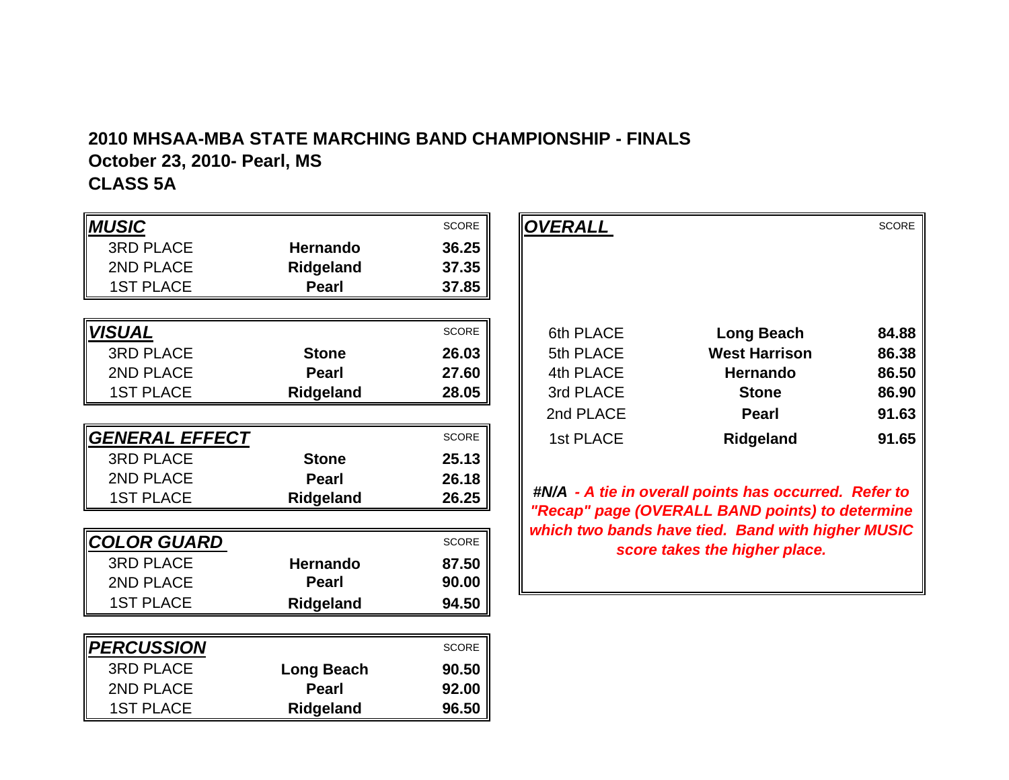# **2010 MHSAA-MBA STATE MARCHING BAND CHAMPIONSHIP - FINALSOctober 23, 2010- Pearl, MS CLASS 5A**

| <b>MUSIC</b>       |                   | <b>SCORE</b> |
|--------------------|-------------------|--------------|
| <b>3RD PLACE</b>   | <b>Hernando</b>   | 36.25        |
| 2ND PLACE          | Ridgeland         | 37.35        |
| <b>1ST PLACE</b>   | <b>Pearl</b>      | 37.85        |
|                    |                   |              |
| <b>VISUAL</b>      |                   | <b>SCORE</b> |
| <b>3RD PLACE</b>   | <b>Stone</b>      | 26.03        |
| 2ND PLACE          | Pearl             | 27.60        |
| <b>1ST PLACE</b>   | Ridgeland         | 28.05        |
|                    |                   |              |
| GENERAL EFFECT     |                   | <b>SCORE</b> |
| <b>3RD PLACE</b>   | <b>Stone</b>      | 25.13        |
| 2ND PLACE          | Pearl             | 26.18        |
| <b>1ST PLACE</b>   | Ridgeland         | 26.25        |
|                    |                   |              |
| <b>COLOR GUARD</b> |                   | <b>SCORE</b> |
| <b>3RD PLACE</b>   | <b>Hernando</b>   | 87.50        |
| 2ND PLACE          | <b>Pearl</b>      | 90.00        |
| <b>1ST PLACE</b>   | Ridgeland         | 94.50        |
|                    |                   |              |
| <b>PERCUSSION</b>  |                   | <b>SCORE</b> |
| <b>3RD PLACE</b>   | <b>Long Beach</b> | 90.50        |
| 2ND PLACE          | <b>Pearl</b>      | 92.00        |
| <b>1ST PLACE</b>   | Ridgeland         | 96.50        |

|              |                  | SCORE        | <b>OVERALL</b> |                      | SCORE |
|--------------|------------------|--------------|----------------|----------------------|-------|
| <b>PLACE</b> | <b>Hernando</b>  | 36.25        |                |                      |       |
| <b>PLACE</b> | Ridgeland        | 37.35        |                |                      |       |
| PLACE        | Pearl            | 37.85        |                |                      |       |
|              |                  |              |                |                      |       |
|              |                  | SCORE        | 6th PLACE      | <b>Long Beach</b>    | 84.88 |
| <b>PLACE</b> | <b>Stone</b>     | 26.03        | 5th PLACE      | <b>West Harrison</b> | 86.38 |
| <b>PLACE</b> | <b>Pearl</b>     | 27.60        | 4th PLACE      | Hernando             | 86.50 |
| PLACE        | Ridgeland        | 28.05        | 3rd PLACE      | <b>Stone</b>         | 86.90 |
|              |                  |              | 2nd PLACE      | <b>Pearl</b>         | 91.63 |
| RAL EFFECT   |                  | <b>SCORE</b> | 1st PLACE      | Ridgeland            | 91.65 |
| DI ACE       | C <sub>tan</sub> | <b>OF 49</b> |                |                      |       |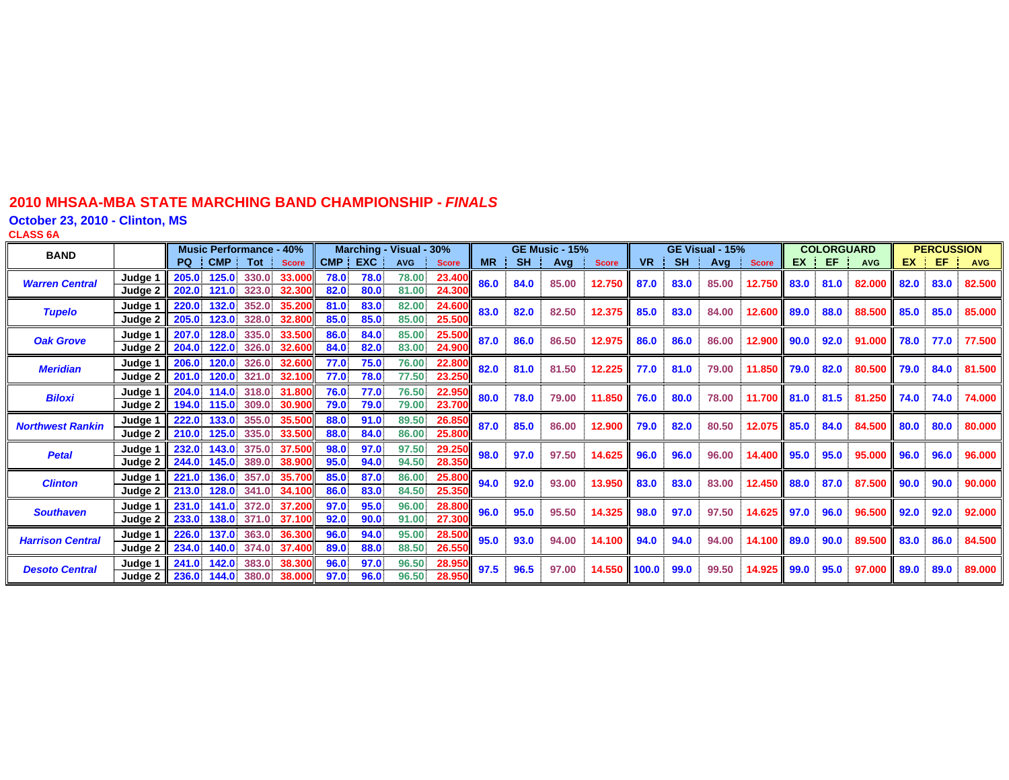**October 23, 2010 - Clinton, MS**

**CLASS 6 A**

| <b>BAND</b>             |                      | <b>Music Performance - 40%</b>                                                | Marching - Visual - 30%                                            |           | <b>GE Music - 15%</b> |       |              |           | GE Visual - 15% |            |              |                     | <b>COLORGUARD</b> |            |         | <b>PERCUSSION</b> |            |  |
|-------------------------|----------------------|-------------------------------------------------------------------------------|--------------------------------------------------------------------|-----------|-----------------------|-------|--------------|-----------|-----------------|------------|--------------|---------------------|-------------------|------------|---------|-------------------|------------|--|
|                         |                      | PQ CMP<br>Tot Score                                                           | CMP EXC<br><b>AVG</b><br><b>Score</b>                              | <b>MR</b> | SH <sub>1</sub>       | Avg l | <b>Score</b> | <b>VR</b> | <b>SH</b>       | $Avg \mid$ | <b>Score</b> | EX                  | EF.               | <b>AVG</b> | EX      | EF.               | <b>AVG</b> |  |
| <b>Warren Central</b>   | Judge<br>Judge 2     | 125.0<br>330.0<br>33.000<br>205.0<br>202.0<br>121.0<br>323.0<br>32,300        | 78.0<br>78.0<br>78.00<br>23.400<br>82.0<br>80.0<br>81.00<br>24.300 | 86.0      | 84.0                  | 85.00 | 12.750       | 87.0      | 83.0            | 85.00      | 12.750       | 83.0                | 81.0              | 82.000     | 82.0    | 83.0              | 82,500     |  |
| <b>Tupelo</b>           | Judge 1<br>Judge 2   | 220.0<br>132.0<br>352.0<br>35.200<br>205.0<br>123.0 328.0<br>32.800           | 83.0<br>82.00<br>81.0<br>24.600<br>85.0<br>85.0<br>85.00<br>25.50  | 83.0      | 82.0                  | 82.50 | 12.375 II    | 85.0      | 83.0            | 84.00      | 12.600 89.0  |                     | 88.0              | 88.500     | 85.0    | 85.0              | 85,000     |  |
| <b>Oak Grove</b>        | Judge 1<br>Judge 2   | 335.0<br>33.500<br>207.0<br>128.0<br>204.0<br>122.0<br>326.0<br>32.600        | 86.0<br>84.0<br>25.500<br>85.00<br>82.0<br>83.00<br>24.900<br>84.0 | 87.0      | 86.0                  | 86.50 | 12.975       | 86.0      | 86.0            | 86.00      | 12.900       | 90.0                | 92.0              | 91.000     | 78.0    | 77.0              | 77.500     |  |
| <b>Meridian</b>         | Judge 1<br>Judge 2   | 206.0<br>120.0<br>326.0<br>32.600<br>$120.0$ 321.0<br>201.0<br>32.100         | 75.0<br>76.00<br>77.0<br>22.800<br>78.0<br>77.50<br>23.250<br>77.0 | 82.0      | 81.0                  | 81.50 | 12.225       | 77.0      | 81.0            | 79.00      | 11.850       | 79.0                | 82.0              | 80.500     | 79.0    | 84.0              | 81.500     |  |
| <b>Biloxi</b>           | Judge 1<br>Judge 2   | 114.0 318.0<br>204.0<br>31.800<br>194.0<br>115.0<br>309.0<br>30.900           | 76.0<br>77.0<br>76.50<br>22.950<br>79.0<br>79.00<br>23.700<br>79.0 | 80.0      | 78.0                  | 79.00 | 11.850       | 76.0      | 80.0            | 78.00      | 11.700 81.0  |                     | 81.5              | 81.250     | ll 74.0 | 74.0              | 74.000     |  |
| <b>Northwest Rankin</b> | Judge 1<br>Judge 2   | 222.0<br>133.0<br>35,500<br>355.0<br>125.0<br>210.0<br>335.0<br>33.500        | 91.0<br>89.50<br>88.0<br>26.850<br>88.0<br>84.0<br>25.800<br>86.00 | 87.0      | 85.0                  | 86.00 | 12.900       | 79.0      | 82.0            | 80.50      | 12.075 85.0  |                     | 84.0              | 84.500     | 80.0    | 80.0              | 80.000     |  |
| <b>Petal</b>            | Judae 1<br>Judae 2 l | 37.500<br>143.0<br>375.0<br>232.0<br>145.0<br>244.0<br>389.0<br>38.900        | 97.0<br>97.50<br>98.0<br>29.250<br>94.0<br>28.350<br>95.0<br>94.50 | 98.0      | 97.0                  | 97.50 | 14.625       | 96.0      | 96.0            | 96.00      | 14.400       | 95.0                | 95.0              | 95,000     | 96.0    | 96.0              | 96.000     |  |
| <b>Clinton</b>          | Judge 1<br>Judge 2   | 136.0 357.0<br>221.0<br>35.700<br>213.0 128.0 341.0 34.100                    | 87.0<br>85.0<br>86.00<br>25.800<br>83.0<br>25.350<br>86.0<br>84.50 | 94.0      | 92.0                  | 93.00 | 13.950       | 83.0      | 83.0            | 83.00      | 12.450       | 88.0                | 87.0              | 87,500     | 90.0    | 90.0              | 90.000     |  |
| <b>Southaven</b>        | Judge 1<br>Judge 2   | 141.0<br>372.0<br>37.200<br>231.0<br>233.0<br>138.0<br>371.0<br>37.100        | 97.0<br>95.0<br>96.00<br>28.800<br>90.0<br>27.300<br>92.0<br>91.00 | 96.0      | 95.0                  | 95.50 | 14.325       | 98.0      | 97.0            | 97.50      | 14.625       | $\parallel$ 97.0    | 96.0              | 96.500     | 92.0    | 92.0              | 92.000     |  |
| <b>Harrison Central</b> | Judge 1<br>Judge 2   | 363.0<br>226.0<br>137.0<br>36.300<br>140.0<br>374.0<br>37.400<br><b>234.0</b> | 96.0<br>94.0<br>95.00<br>28.500<br>88.0<br>88.50<br>26.550<br>89.0 | 95.0      | 93.0                  | 94.00 | 14.100       | 94.0      | 94.0            | 94.00      | 14.100 89.0  |                     | 90.0              | 89.500     | 83.0    | 86.0              | 84.500     |  |
| <b>Desoto Central</b>   | Judge 1<br>Judge 2   | 383.0<br>142.0<br>38.300<br>241.0<br><b>236.0</b><br>144.0 380.0<br>38.000    | 97.0<br>96.0<br>96.50<br>28.950<br>96.0<br>96.50<br>28.950<br>97.0 | 97.5      | 96.5                  | 97.00 | 14.550       | 100.0     | 99.0            | 99.50      | 14.925       | $\blacksquare$ 99.0 | 95.0              | 97.000     | 89.0    | 89.0              | 89.000     |  |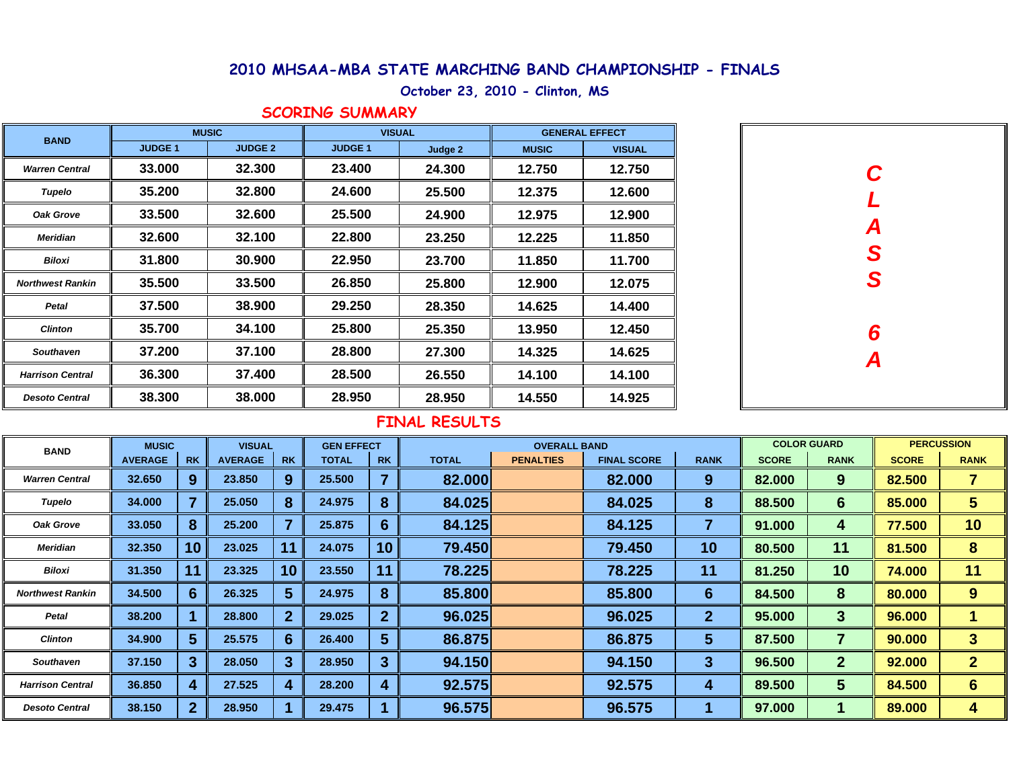## **October 23, 2010 - Clinton, MS**

#### **SCORING SUMMARY**

| <b>BAND</b>             |                | <b>MUSIC</b>   | <b>VISUAL</b>  |         | <b>GENERAL EFFECT</b> |               |  |  |
|-------------------------|----------------|----------------|----------------|---------|-----------------------|---------------|--|--|
|                         | <b>JUDGE 1</b> | <b>JUDGE 2</b> | <b>JUDGE 1</b> | Judge 2 | <b>MUSIC</b>          | <b>VISUAL</b> |  |  |
| <b>Warren Central</b>   | 33.000         | 32.300         | 23.400         | 24.300  | 12.750                | 12.750        |  |  |
| Tupelo                  | 35.200         | 32.800         | 24.600         | 25.500  | 12.375                | 12.600        |  |  |
| Oak Grove               | 33.500         | 32.600         | 25.500         | 24.900  | 12.975                | 12.900        |  |  |
| <b>Meridian</b>         | 32.600         | 32.100         | 22.800         | 23.250  | 12.225                | 11.850        |  |  |
| <b>Biloxi</b>           | 31.800         | 30.900         | 22.950         | 23.700  | 11.850                | 11.700        |  |  |
| <b>Northwest Rankin</b> | 35.500         | 33.500         | 26.850         | 25.800  | 12.900                | 12.075        |  |  |
| Petal                   | 37.500         | 38.900         | 29.250         | 28.350  | 14.625                | 14.400        |  |  |
| <b>Clinton</b>          | 35.700         | 34.100         | 25.800         | 25.350  | 13.950                | 12.450        |  |  |
| <b>Southaven</b>        | 37.200         | 37.100         | 28.800         | 27.300  | 14.325                | 14.625        |  |  |
| <b>Harrison Central</b> | 36.300         | 37.400         | 28.500         | 26.550  | 14.100                | 14.100        |  |  |
| <b>Desoto Central</b>   | 38.300         | 38,000         | 28.950         | 28.950  | 14.550                | 14.925        |  |  |

| $\mathbf C$      |  |
|------------------|--|
|                  |  |
| L                |  |
|                  |  |
| A<br>S<br>S      |  |
|                  |  |
|                  |  |
|                  |  |
| $\boldsymbol{6}$ |  |
|                  |  |
| $\overline{A}$   |  |
|                  |  |
|                  |  |

| <b>BAND</b>             | <b>MUSIC</b>   |                  | <b>VISUAL</b>  |           | <b>GEN EFFECT</b> |                | <b>OVERALL BAND</b> |                  |                    |                | <b>COLOR GUARD</b> |                 | <b>PERCUSSION</b> |                |
|-------------------------|----------------|------------------|----------------|-----------|-------------------|----------------|---------------------|------------------|--------------------|----------------|--------------------|-----------------|-------------------|----------------|
|                         | <b>AVERAGE</b> | <b>RK</b>        | <b>AVERAGE</b> | <b>RK</b> | <b>TOTAL</b>      | <b>RK</b>      | <b>TOTAL</b>        | <b>PENALTIES</b> | <b>FINAL SCORE</b> | <b>RANK</b>    | <b>SCORE</b>       | <b>RANK</b>     | <b>SCORE</b>      | <b>RANK</b>    |
| <b>Warren Central</b>   | 32.650         | 9                | 23.850         | 9         | 25.500            | 7              | 82.000              |                  | 82.000             | 9              | 82.000             | 9               | 82.500            |                |
| Tupelo                  | 34.000         |                  | 25.050         | 8         | 24.975            | 8              | 84.025              |                  | 84.025             | 8              | 88.500             | 6               | 85.000            | 5              |
| Oak Grove               | 33.050         | 8                | 25.200         |           | 25.875            | 6              | 84.125              |                  | 84.125             |                | 91.000             | 4               | 77.500            | 10             |
| <b>Meridian</b>         | 32.350         | 10               | 23.025         |           | 24.075            | 10             | 79.450              |                  | 79.450             | 10             | 80.500             | 11              | 81.500            | 8              |
| <b>Biloxi</b>           | 31.350         | 11               | 23.325         | 10        | 23.550            | 11             | 78.225              |                  | 78.225             | 11             | 81.250             | 10              | 74.000            | 11             |
| <b>Northwest Rankin</b> | 34.500         | $6 \overline{6}$ | 26.325         | 5         | 24.975            | 8              | 85.800              |                  | 85.800             | 6              | 84.500             | 8               | 80.000            | 9              |
| Petal                   | 38.200         |                  | 28.800         | 2         | 29.025            | $\overline{2}$ | 96.025              |                  | 96.025             | $\overline{2}$ | 95.000             | $\mathbf{3}$    | 96.000            |                |
| <b>Clinton</b>          | 34.900         | 5                | 25.575         | 6         | 26.400            | 5              | 86.875              |                  | 86.875             | 5              | 87.500             | 7               | 90.000            | 3              |
| <b>Southaven</b>        | 37.150         | 3                | 28.050         | 3         | 28.950            | $\overline{3}$ | 94.150              |                  | 94.150             | 3              | 96.500             | $\overline{2}$  | 92.000            | $\overline{2}$ |
| <b>Harrison Central</b> | 36.850         | 4                | 27.525         |           | 28.200            | 4              | 92.575              |                  | 92.575             | 4              | 89.500             | $5\phantom{.0}$ | 84.500            | 6              |
| <b>Desoto Central</b>   | 38.150         | $\mathbf{2}$     | 28.950         |           | 29.475            |                | 96.575              |                  | 96.575             |                | 97.000             |                 | 89.000            | 4              |